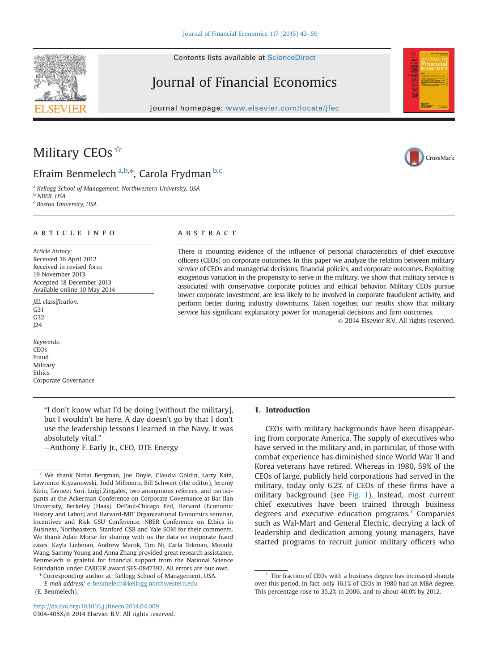## Journal of Financial Economics

journal homepage: <www.elsevier.com/locate/jfec>





# Military CEOs $*$

## Efraim Benmelech <sup>a,b,\*</sup>, Carola Frydman <sup>b,c</sup>

a Kellogg School of Management, Northwestern University, USA

<sup>b</sup> NBER, USA

<sup>c</sup> Boston University, USA

## article info

Article history: Received 16 April 2012 Received in revised form 19 November 2013 Accepted 18 December 2013 Available online 10 May 2014

JEL classification: G31 G32 J24

Keywords: CEOs Fraud Military Ethics Corporate Governance

## **ABSTRACT**

There is mounting evidence of the influence of personal characteristics of chief executive officers (CEOs) on corporate outcomes. In this paper we analyze the relation between military service of CEOs and managerial decisions, financial policies, and corporate outcomes. Exploiting exogenous variation in the propensity to serve in the military, we show that military service is associated with conservative corporate policies and ethical behavior. Military CEOs pursue lower corporate investment, are less likely to be involved in corporate fraudulent activity, and perform better during industry downturns. Taken together, our results show that military service has significant explanatory power for managerial decisions and firm outcomes.

 $\odot$  2014 Elsevier B.V. All rights reserved.

"I don't know what I'd be doing [without the military], but I wouldn't be here. A day doesn't go by that I don't use the leadership lessons I learned in the Navy. It was absolutely vital."

—Anthony F. Early Jr., CEO, DTE Energy

(E. Benmelech).

## 1. Introduction

CEOs with military backgrounds have been disappearing from corporate America. The supply of executives who have served in the military and, in particular, of those with combat experience has diminished since World War II and Korea veterans have retired. Whereas in 1980, 59% of the CEOs of large, publicly held corporations had served in the military, today only 6.2% of CEOs of these firms have a military background (see [Fig. 1\)](#page-1-0). Instead, most current chief executives have been trained through business degrees and executive education programs.<sup>1</sup> Companies such as Wal-Mart and General Electric, decrying a lack of leadership and dedication among young managers, have started programs to recruit junior military officers who



We thank Nittai Bergman, Joe Doyle, Claudia Goldin, Larry Katz, Lawrence Kryzanowski, Todd Milbourn, Bill Schwert (the editor), Jeremy Stein, Tavneet Suri, Luigi Zingales, two anonymous referees, and participants at the Ackerman Conference on Corporate Governance at Bar Ilan University, Berkeley (Haas), DePaul-Chicago Fed, Harvard (Economic History and Labor) and Harvard-MIT Organizational Economics seminar, Incentives and Risk GSU Conference, NBER Conference on Ethics in Business, Northeastern, Stanford GSB and Yale SOM for their comments. We thank Adair Morse for sharing with us the data on corporate fraud cases. Kayla Liebman, Andrew Marok, Tim Ni, Carla Tokman, Moonlit Wang, Sammy Young and Anna Zhang provided great research assistance. Benmelech is grateful for financial support from the National Science Foundation under CAREER award SES-0847392. All errors are our own.

Corresponding author at: Kellogg School of Management, USA. E-mail address: [e-benmelech@kellogg.northwestern.edu](mailto:e-benmelech@kellogg.northwestern.edu)

The fraction of CEOs with a business degree has increased sharply over this period. In fact, only 16.1% of CEOs in 1980 had an MBA degree. This percentage rose to 35.2% in 2006, and to about 40.0% by 2012.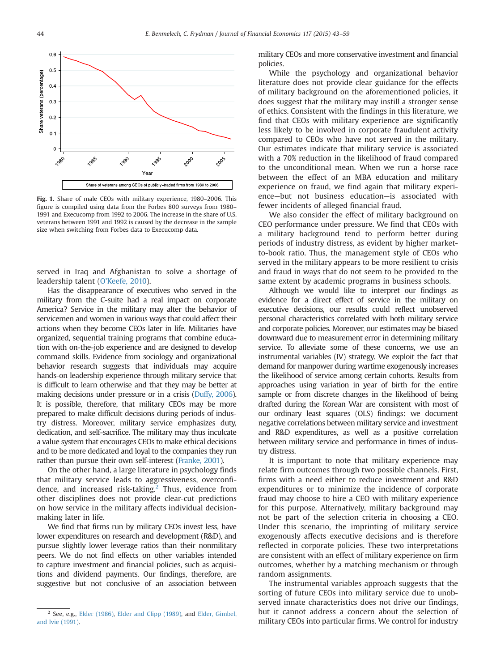<span id="page-1-0"></span>

Fig. 1. Share of male CEOs with military experience, 1980–2006. This figure is compiled using data from the Forbes 800 surveys from 1980– 1991 and Execucomp from 1992 to 2006. The increase in the share of U.S. veterans between 1991 and 1992 is caused by the decrease in the sample size when switching from Forbes data to Execucomp data.

served in Iraq and Afghanistan to solve a shortage of leadership talent ([O'Keefe, 2010](#page-16-0)).

Has the disappearance of executives who served in the military from the C-suite had a real impact on corporate America? Service in the military may alter the behavior of servicemen and women in various ways that could affect their actions when they become CEOs later in life. Militaries have organized, sequential training programs that combine education with on-the-job experience and are designed to develop command skills. Evidence from sociology and organizational behavior research suggests that individuals may acquire hands-on leadership experience through military service that is difficult to learn otherwise and that they may be better at making decisions under pressure or in a crisis [\(Duffy, 2006](#page-15-0)). It is possible, therefore, that military CEOs may be more prepared to make difficult decisions during periods of industry distress. Moreover, military service emphasizes duty, dedication, and self-sacrifice. The military may thus inculcate a value system that encourages CEOs to make ethical decisions and to be more dedicated and loyal to the companies they run rather than pursue their own self-interest [\(Franke, 2001\)](#page-15-0).

On the other hand, a large literature in psychology finds that military service leads to aggressiveness, overconfidence, and increased risk-taking.<sup>2</sup> Thus, evidence from other disciplines does not provide clear-cut predictions on how service in the military affects individual decisionmaking later in life.

We find that firms run by military CEOs invest less, have lower expenditures on research and development (R&D), and pursue slightly lower leverage ratios than their nonmilitary peers. We do not find effects on other variables intended to capture investment and financial policies, such as acquisitions and dividend payments. Our findings, therefore, are suggestive but not conclusive of an association between

military CEOs and more conservative investment and financial policies.

While the psychology and organizational behavior literature does not provide clear guidance for the effects of military background on the aforementioned policies, it does suggest that the military may instill a stronger sense of ethics. Consistent with the findings in this literature, we find that CEOs with military experience are significantly less likely to be involved in corporate fraudulent activity compared to CEOs who have not served in the military. Our estimates indicate that military service is associated with a 70% reduction in the likelihood of fraud compared to the unconditional mean. When we run a horse race between the effect of an MBA education and military experience on fraud, we find again that military experience—but not business education—is associated with fewer incidents of alleged financial fraud.

We also consider the effect of military background on CEO performance under pressure. We find that CEOs with a military background tend to perform better during periods of industry distress, as evident by higher marketto-book ratio. Thus, the management style of CEOs who served in the military appears to be more resilient to crisis and fraud in ways that do not seem to be provided to the same extent by academic programs in business schools.

Although we would like to interpret our findings as evidence for a direct effect of service in the military on executive decisions, our results could reflect unobserved personal characteristics correlated with both military service and corporate policies. Moreover, our estimates may be biased downward due to measurement error in determining military service. To alleviate some of these concerns, we use an instrumental variables (IV) strategy. We exploit the fact that demand for manpower during wartime exogenously increases the likelihood of service among certain cohorts. Results from approaches using variation in year of birth for the entire sample or from discrete changes in the likelihood of being drafted during the Korean War are consistent with most of our ordinary least squares (OLS) findings: we document negative correlations between military service and investment and R&D expenditures, as well as a positive correlation between military service and performance in times of industry distress.

It is important to note that military experience may relate firm outcomes through two possible channels. First, firms with a need either to reduce investment and R&D expenditures or to minimize the incidence of corporate fraud may choose to hire a CEO with military experience for this purpose. Alternatively, military background may not be part of the selection criteria in choosing a CEO. Under this scenario, the imprinting of military service exogenously affects executive decisions and is therefore reflected in corporate policies. These two interpretations are consistent with an effect of military experience on firm outcomes, whether by a matching mechanism or through random assignments.

The instrumental variables approach suggests that the sorting of future CEOs into military service due to unobserved innate characteristics does not drive our findings, but it cannot address a concern about the selection of military CEOs into particular firms. We control for industry

 $2$  See, e.g., [Elder \(1986\),](#page-15-0) [Elder and Clipp \(1989\),](#page-15-0) and [Elder, Gimbel,](#page-15-0) [and Ivie \(1991\)](#page-15-0).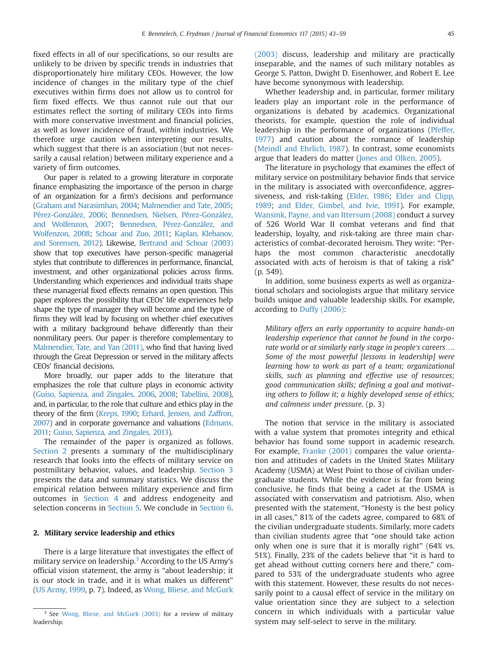fixed effects in all of our specifications, so our results are unlikely to be driven by specific trends in industries that disproportionately hire military CEOs. However, the low incidence of changes in the military type of the chief executives within firms does not allow us to control for firm fixed effects. We thus cannot rule out that our estimates reflect the sorting of military CEOs into firms with more conservative investment and financial policies, as well as lower incidence of fraud, within industries. We therefore urge caution when interpreting our results, which suggest that there is an association (but not necessarily a causal relation) between military experience and a variety of firm outcomes.

Our paper is related to a growing literature in corporate finance emphasizing the importance of the person in charge of an organization for a firm's decisions and performance ([Graham and Narasimhan, 2004;](#page-15-0) [Malmendier and Tate, 2005](#page-15-0); [Pérez-González, 2006](#page-16-0); [Bennedsen, Nielsen, Pérez-González,](#page-15-0) [and Wolfenzon, 2007](#page-15-0); [Bennedsen, Pérez-González, and](#page-15-0) [Wolfenzon, 2008](#page-15-0); [Schoar and Zuo, 2011;](#page-16-0) [Kaplan, Klebanov,](#page-15-0) [and Sorensen, 2012\)](#page-15-0). Likewise, [Bertrand and Schoar \(2003\)](#page-15-0) show that top executives have person-specific managerial styles that contribute to differences in performance, financial, investment, and other organizational policies across firms. Understanding which experiences and individual traits shape these managerial fixed effects remains an open question. This paper explores the possibility that CEOs' life experiences help shape the type of manager they will become and the type of firms they will lead by focusing on whether chief executives with a military background behave differently than their nonmilitary peers. Our paper is therefore complementary to [Malmendier, Tate, and Yan \(2011\)](#page-15-0), who find that having lived through the Great Depression or served in the military affects CEOs' financial decisions.

More broadly, our paper adds to the literature that emphasizes the role that culture plays in economic activity ([Guiso, Sapienza, and Zingales, 2006,](#page-15-0) [2008](#page-15-0); [Tabellini, 2008](#page-16-0)), and, in particular, to the role that culture and ethics play in the theory of the firm [\(Kreps, 1990](#page-15-0); [Erhard, Jensen, and Zaffron,](#page-15-0) [2007\)](#page-15-0) and in corporate governance and valuations ([Edmans,](#page-15-0) [2011;](#page-15-0) [Guiso, Sapienza, and Zingales, 2013\)](#page-15-0).

The remainder of the paper is organized as follows. Section 2 presents a summary of the multidisciplinary research that looks into the effects of military service on postmilitary behavior, values, and leadership. [Section 3](#page-3-0) presents the data and summary statistics. We discuss the empirical relation between military experience and firm outcomes in [Section 4](#page-4-0) and address endogeneity and selection concerns in [Section 5.](#page-11-0) We conclude in [Section 6](#page-15-0).

### 2. Military service leadership and ethics

There is a large literature that investigates the effect of military service on leadership.<sup>3</sup> According to the US Army's official vision statement, the army is "about leadership; it is our stock in trade, and it is what makes us different" ([US Army, 1999](#page-16-0), p. 7). Indeed, as [Wong, Bliese, and McGurk](#page-16-0) [\(2003\)](#page-16-0) discuss, leadership and military are practically inseparable, and the names of such military notables as George S. Patton, Dwight D. Eisenhower, and Robert E. Lee have become synonymous with leadership.

Whether leadership and, in particular, former military leaders play an important role in the performance of organizations is debated by academics. Organizational theorists, for example, question the role of individual leadership in the performance of organizations ([Pfeffer,](#page-16-0) [1977](#page-16-0)) and caution about the romance of leadership ([Meindl and Ehrlich, 1987](#page-15-0)). In contrast, some economists argue that leaders do matter ([Jones and Olken, 2005](#page-15-0)).

The literature in psychology that examines the effect of military service on postmilitary behavior finds that service in the military is associated with overconfidence, aggressiveness, and risk-taking [\(Elder, 1986;](#page-15-0) [Elder and Clipp,](#page-15-0) [1989](#page-15-0); [and Elder, Gimbel, and Ivie, 1991\)](#page-15-0). For example, [Wansink, Payne, and van Ittersum \(2008\)](#page-16-0) conduct a survey of 526 World War II combat veterans and find that leadership, loyalty, and risk-taking are three main characteristics of combat-decorated heroism. They write: "Perhaps the most common characteristic anecdotally associated with acts of heroism is that of taking a risk" (p. 549).

In addition, some business experts as well as organizational scholars and sociologists argue that military service builds unique and valuable leadership skills. For example, according to [Duffy \(2006\):](#page-15-0)

Military offers an early opportunity to acquire hands-on leadership experience that cannot be found in the corporate world or at similarly early stage in people's careers…. Some of the most powerful [lessons in leadership] were learning how to work as part of a team; organizational skills, such as planning and effective use of resources; good communication skills; defining a goal and motivating others to follow it; a highly developed sense of ethics; and calmness under pressure. (p. 3)

The notion that service in the military is associated with a value system that promotes integrity and ethical behavior has found some support in academic research. For example, [Franke \(2001\)](#page-15-0) compares the value orientation and attitudes of cadets in the United States Military Academy (USMA) at West Point to those of civilian undergraduate students. While the evidence is far from being conclusive, he finds that being a cadet at the USMA is associated with conservatism and patriotism. Also, when presented with the statement, "Honesty is the best policy in all cases," 81% of the cadets agree, compared to 68% of the civilian undergraduate students. Similarly, more cadets than civilian students agree that "one should take action only when one is sure that it is morally right" (64% vs. 51%). Finally, 23% of the cadets believe that "it is hard to get ahead without cutting corners here and there," compared to 53% of the undergraduate students who agree with this statement. However, these results do not necessarily point to a causal effect of service in the military on value orientation since they are subject to a selection concern in which individuals with a particular value system may self-select to serve in the military.

<sup>&</sup>lt;sup>3</sup> See [Wong, Bliese, and McGurk \(2003\)](#page-16-0) for a review of military leadership.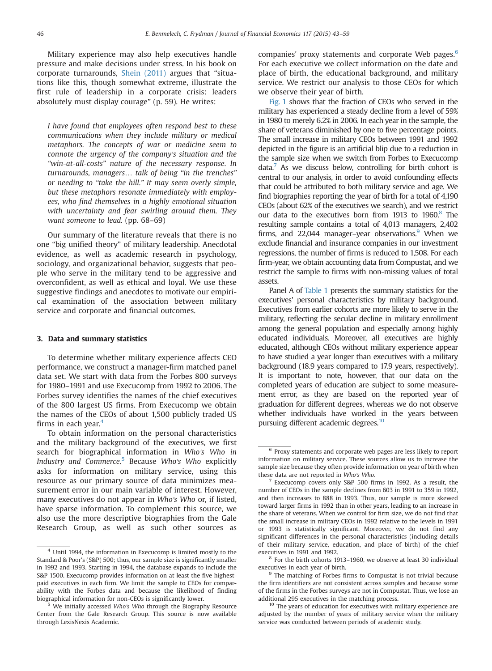<span id="page-3-0"></span>Military experience may also help executives handle pressure and make decisions under stress. In his book on corporate turnarounds, [Shein \(2011\)](#page-16-0) argues that "situations like this, though somewhat extreme, illustrate the first rule of leadership in a corporate crisis: leaders absolutely must display courage" (p. 59). He writes:

I have found that employees often respond best to these communications when they include military or medical metaphors. The concepts of war or medicine seem to connote the urgency of the company's situation and the "win-at-all-costs" nature of the necessary response. In turnarounds, managers… talk of being "in the trenches" or needing to "take the hill." It may seem overly simple, but these metaphors resonate immediately with employees, who find themselves in a highly emotional situation with uncertainty and fear swirling around them. They want someone to lead. (pp. 68–69)

Our summary of the literature reveals that there is no one "big unified theory" of military leadership. Anecdotal evidence, as well as academic research in psychology, sociology, and organizational behavior, suggests that people who serve in the military tend to be aggressive and overconfident, as well as ethical and loyal. We use these suggestive findings and anecdotes to motivate our empirical examination of the association between military service and corporate and financial outcomes.

#### 3. Data and summary statistics

To determine whether military experience affects CEO performance, we construct a manager-firm matched panel data set. We start with data from the Forbes 800 surveys for 1980–1991 and use Execucomp from 1992 to 2006. The Forbes survey identifies the names of the chief executives of the 800 largest US firms. From Execucomp we obtain the names of the CEOs of about 1,500 publicly traded US firms in each year.<sup>4</sup>

To obtain information on the personal characteristics and the military background of the executives, we first search for biographical information in Who's Who in Industry and Commerce.<sup>5</sup> Because Who's Who explicitly asks for information on military service, using this resource as our primary source of data minimizes measurement error in our main variable of interest. However, many executives do not appear in Who's Who or, if listed, have sparse information. To complement this source, we also use the more descriptive biographies from the Gale Research Group, as well as such other sources as

companies' proxy statements and corporate Web pages.6 For each executive we collect information on the date and place of birth, the educational background, and military service. We restrict our analysis to those CEOs for which we observe their year of birth.

[Fig. 1](#page-1-0) shows that the fraction of CEOs who served in the military has experienced a steady decline from a level of 59% in 1980 to merely 6.2% in 2006. In each year in the sample, the share of veterans diminished by one to five percentage points. The small increase in military CEOs between 1991 and 1992 depicted in the figure is an artificial blip due to a reduction in the sample size when we switch from Forbes to Execucomp  $data<sup>7</sup>$  As we discuss below, controlling for birth cohort is central to our analysis, in order to avoid confounding effects that could be attributed to both military service and age. We find biographies reporting the year of birth for a total of 4,190 CEOs (about 62% of the executives we search), and we restrict our data to the executives born from 1913 to 1960.<sup>8</sup> The resulting sample contains a total of 4,013 managers, 2,402 firms, and  $22,044$  manager–year observations.<sup>9</sup> When we exclude financial and insurance companies in our investment regressions, the number of firms is reduced to 1,508. For each firm-year, we obtain accounting data from Compustat, and we restrict the sample to firms with non-missing values of total assets.

Panel A of [Table 1](#page-5-0) presents the summary statistics for the executives' personal characteristics by military background. Executives from earlier cohorts are more likely to serve in the military, reflecting the secular decline in military enrollment among the general population and especially among highly educated individuals. Moreover, all executives are highly educated, although CEOs without military experience appear to have studied a year longer than executives with a military background (18.9 years compared to 17.9 years, respectively). It is important to note, however, that our data on the completed years of education are subject to some measurement error, as they are based on the reported year of graduation for different degrees, whereas we do not observe whether individuals have worked in the years between pursuing different academic degrees.<sup>10</sup>

 $8\,$  For the birth cohorts 1913–1960, we observe at least 30 individual executives in each year of birth.

<sup>4</sup> Until 1994, the information in Execucomp is limited mostly to the Standard & Poor's (S&P) 500; thus, our sample size is significantly smaller in 1992 and 1993. Starting in 1994, the database expands to include the S&P 1500. Execucomp provides information on at least the five highestpaid executives in each firm. We limit the sample to CEOs for comparability with the Forbes data and because the likelihood of finding biographical information for non-CEOs is significantly lower.

We initially accessed Who's Who through the Biography Resource Center from the Gale Research Group. This source is now available through LexisNexis Academic.

<sup>&</sup>lt;sup>6</sup> Proxy statements and corporate web pages are less likely to report information on military service. These sources allow us to increase the sample size because they often provide information on year of birth when these data are not reported in Who's Who.

Execucomp covers only S&P 500 firms in 1992. As a result, the number of CEOs in the sample declines from 603 in 1991 to 359 in 1992, and then increases to 888 in 1993. Thus, our sample is more skewed toward larger firms in 1992 than in other years, leading to an increase in the share of veterans. When we control for firm size, we do not find that the small increase in military CEOs in 1992 relative to the levels in 1991 or 1993 is statistically significant. Moreover, we do not find any significant differences in the personal characteristics (including details of their military service, education, and place of birth) of the chief executives in 1991 and 1992.

<sup>&</sup>lt;sup>9</sup> The matching of Forbes firms to Compustat is not trivial because the firm identifiers are not consistent across samples and because some of the firms in the Forbes surveys are not in Compustat. Thus, we lose an additional 295 executives in the matching process.

 $10$  The years of education for executives with military experience are adjusted by the number of years of military service when the military service was conducted between periods of academic study.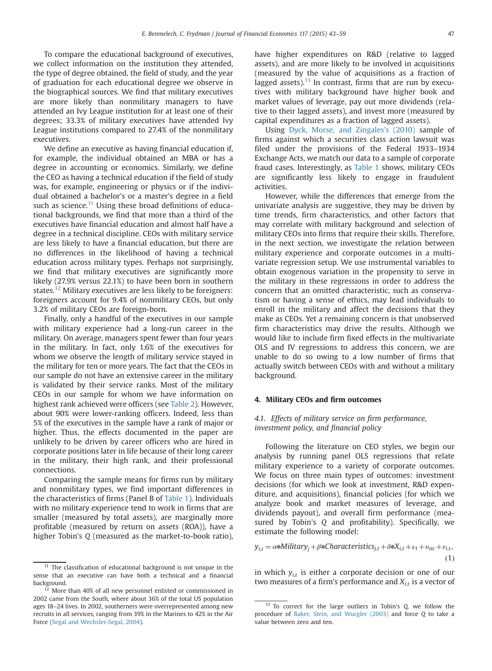<span id="page-4-0"></span>To compare the educational background of executives, we collect information on the institution they attended, the type of degree obtained, the field of study, and the year of graduation for each educational degree we observe in the biographical sources. We find that military executives are more likely than nonmilitary managers to have attended an Ivy League institution for at least one of their degrees; 33.3% of military executives have attended Ivy League institutions compared to 27.4% of the nonmilitary executives.

We define an executive as having financial education if, for example, the individual obtained an MBA or has a degree in accounting or economics. Similarly, we define the CEO as having a technical education if the field of study was, for example, engineering or physics or if the individual obtained a bachelor's or a master's degree in a field such as science.<sup>11</sup> Using these broad definitions of educational backgrounds, we find that more than a third of the executives have financial education and almost half have a degree in a technical discipline. CEOs with military service are less likely to have a financial education, but there are no differences in the likelihood of having a technical education across military types. Perhaps not surprisingly, we find that military executives are significantly more likely (27.9% versus 22.1%) to have been born in southern states.<sup>12</sup> Military executives are less likely to be foreigners: foreigners account for 9.4% of nonmilitary CEOs, but only 3.2% of military CEOs are foreign-born.

Finally, only a handful of the executives in our sample with military experience had a long-run career in the military. On average, managers spent fewer than four years in the military. In fact, only 1.6% of the executives for whom we observe the length of military service stayed in the military for ten or more years. The fact that the CEOs in our sample do not have an extensive career in the military is validated by their service ranks. Most of the military CEOs in our sample for whom we have information on highest rank achieved were officers (see [Table 2\)](#page-5-0). However, about 90% were lower-ranking officers. Indeed, less than 5% of the executives in the sample have a rank of major or higher. Thus, the effects documented in the paper are unlikely to be driven by career officers who are hired in corporate positions later in life because of their long career in the military, their high rank, and their professional connections.

Comparing the sample means for firms run by military and nonmilitary types, we find important differences in the characteristics of firms (Panel B of [Table 1](#page-5-0)). Individuals with no military experience tend to work in firms that are smaller (measured by total assets), are marginally more profitable (measured by return on assets (ROA)), have a higher Tobin's Q (measured as the market-to-book ratio), have higher expenditures on R&D (relative to lagged assets), and are more likely to be involved in acquisitions (measured by the value of acquisitions as a fraction of lagged assets). $^{13}$  In contrast, firms that are run by executives with military background have higher book and market values of leverage, pay out more dividends (relative to their lagged assets), and invest more (measured by capital expenditures as a fraction of lagged assets).

Using [Dyck, Morse, and Zingales's \(2010\)](#page-15-0) sample of firms against which a securities class action lawsuit was filed under the provisions of the Federal 1933–1934 Exchange Acts, we match our data to a sample of corporate fraud cases. Interestingly, as [Table 1](#page-5-0) shows, military CEOs are significantly less likely to engage in fraudulent activities.

However, while the differences that emerge from the univariate analysis are suggestive, they may be driven by time trends, firm characteristics, and other factors that may correlate with military background and selection of military CEOs into firms that require their skills. Therefore, in the next section, we investigate the relation between military experience and corporate outcomes in a multivariate regression setup. We use instrumental variables to obtain exogenous variation in the propensity to serve in the military in these regressions in order to address the concern that an omitted characteristic, such as conservatism or having a sense of ethics, may lead individuals to enroll in the military and affect the decisions that they make as CEOs. Yet a remaining concern is that unobserved firm characteristics may drive the results. Although we would like to include firm fixed effects in the multivariate OLS and IV regressions to address this concern, we are unable to do so owing to a low number of firms that actually switch between CEOs with and without a military background.

#### 4. Military CEOs and firm outcomes

## 4.1. Effects of military service on firm performance, investment policy, and financial policy

Following the literature on CEO styles, we begin our analysis by running panel OLS regressions that relate military experience to a variety of corporate outcomes. We focus on three main types of outcomes: investment decisions (for which we look at investment, R&D expenditure, and acquisitions), financial policies (for which we analyze book and market measures of leverage, and dividends payout), and overall firm performance (measured by Tobin's Q and profitability). Specifically, we estimate the following model:

 $y_{i,t} = \alpha * Military_i + \beta * Characteristics_{i,t} + \delta * X_{i,t} + \nu_t + v_{sic} + \varepsilon_{i,t},$  $(1)$ 

in which  $y_{i,t}$  is either a corporate decision or one of our two measures of a firm's performance and  $X_{i,t}$  is a vector of

<sup>&</sup>lt;sup>11</sup> The classification of educational background is not unique in the sense that an executive can have both a technical and a financial background.

More than 40% of all new personnel enlisted or commissioned in 2002 came from the South, where about 36% of the total US population ages 18–24 lives. In 2002, southerners were overrepresented among new recruits in all services, ranging from 39% in the Marines to 42% in the Air Force ([Segal and Wechsler-Segal, 2004\)](#page-16-0).

<sup>&</sup>lt;sup>13</sup> To correct for the large outliers in Tobin's Q, we follow the procedure of [Baker, Stein, and Wurgler \(2003\)](#page-15-0) and force Q to take a value between zero and ten.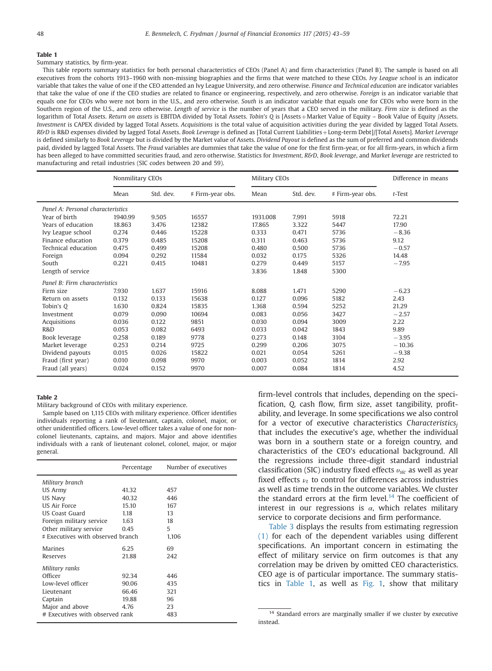<span id="page-5-0"></span>Summary statistics, by firm-year.

This table reports summary statistics for both personal characteristics of CEOs (Panel A) and firm characteristics (Panel B). The sample is based on all executives from the cohorts 1913–1960 with non-missing biographies and the firms that were matched to these CEOs. Ivy League school is an indicator variable that takes the value of one if the CEO attended an Ivy League University, and zero otherwise. Finance and Technical education are indicator variables that take the value of one if the CEO studies are related to finance or engineering, respectively, and zero otherwise. Foreign is an indicator variable that equals one for CEOs who were not born in the U.S., and zero otherwise. South is an indicator variable that equals one for CEOs who were born in the Southern region of the U.S., and zero otherwise. Length of service is the number of years that a CEO served in the military. Firm size is defined as the logarithm of Total Assets. Return on assets is EBITDA divided by Total Assets. Tobin's Q is [Assets+Market Value of Equity – Book Value of Equity /Assets. Investment is CAPEX divided by lagged Total Assets. Acquisitions is the total value of acquisition activities during the year divided by lagged Total Assets. R&D is R&D expenses divided by lagged Total Assets. Book Leverage is defined as [Total Current Liabilities + Long-term Debt]/[Total Assets]. Market Leverage is defined similarly to Book Leverage but is divided by the Market value of Assets. Dividend Payout is defined as the sum of preferred and common dividends paid, divided by lagged Total Assets. The Fraud variables are dummies that take the value of one for the first firm-year, or for all firm-years, in which a firm has been alleged to have committed securities fraud, and zero otherwise. Statistics for Investment, R&D, Book leverage, and Market leverage are restricted to manufacturing and retail industries (SIC codes between 20 and 59).

|                                   | Nonmilitary CEOs |           |                  | Military CEOs |           |                  | Difference in means |  |
|-----------------------------------|------------------|-----------|------------------|---------------|-----------|------------------|---------------------|--|
|                                   | Mean             | Std. dev. | # Firm-year obs. | Mean          | Std. dev. | # Firm-year obs. | $t$ -Test           |  |
| Panel A: Personal characteristics |                  |           |                  |               |           |                  |                     |  |
| Year of birth                     | 1940.99          | 9.505     | 16557            | 1931.008      | 7.991     | 5918             | 72.21               |  |
| Years of education                | 18.863           | 3.476     | 12382            | 17.865        | 3.322     | 5447             | 17.90               |  |
| Ivy League school                 | 0.274            | 0.446     | 15228            | 0.333         | 0.471     | 5736             | $-8.36$             |  |
| Finance education                 | 0.379            | 0.485     | 15208            | 0.311         | 0.463     | 5736             | 9.12                |  |
| Technical education               | 0.475            | 0.499     | 15208            | 0.480         | 0.500     | 5736             | $-0.57$             |  |
| Foreign                           | 0.094            | 0.292     | 11584            | 0.032         | 0.175     | 5326             | 14.48               |  |
| South                             | 0.221            | 0.415     | 10481            | 0.279         | 0.449     | 5157             | $-7.95$             |  |
| Length of service                 |                  |           |                  | 3.836         | 1.848     | 5300             |                     |  |
| Panel B: Firm characteristics     |                  |           |                  |               |           |                  |                     |  |
| Firm size                         | 7.930            | 1.637     | 15916            | 8.088         | 1.471     | 5290             | $-6.23$             |  |
| Return on assets                  | 0.132            | 0.133     | 15638            | 0.127         | 0.096     | 5182             | 2.43                |  |
| Tobin's O                         | 1.630            | 0.824     | 15835            | 1.368         | 0.594     | 5252             | 21.29               |  |
| Investment                        | 0.079            | 0.090     | 10694            | 0.083         | 0.056     | 3427             | $-2.57$             |  |
| Acquisitions                      | 0.036            | 0.122     | 9851             | 0.030         | 0.094     | 3009             | 2.22                |  |
| R&D                               | 0.053            | 0.082     | 6493             | 0.033         | 0.042     | 1843             | 9.89                |  |
| Book leverage                     | 0.258            | 0.189     | 9778             | 0.273         | 0.148     | 3104             | $-3.95$             |  |
| Market leverage                   | 0.253            | 0.214     | 9725             | 0.299         | 0.206     | 3075             | $-10.36$            |  |
| Dividend payouts                  | 0.015            | 0.026     | 15822            | 0.021         | 0.054     | 5261             | $-9.38$             |  |
| Fraud (first year)                | 0.010            | 0.098     | 9970             | 0.003         | 0.052     | 1814             | 2.92                |  |
| Fraud (all years)                 | 0.024            | 0.152     | 9970             | 0.007         | 0.084     | 1814             | 4.52                |  |

#### Table 2

Military background of CEOs with military experience.

Sample based on 1,115 CEOs with military experience. Officer identifies individuals reporting a rank of lieutenant, captain, colonel, major, or other unidentified officers. Low-level officer takes a value of one for noncolonel lieutenants, captains, and majors. Major and above identifies individuals with a rank of lieutenant colonel, colonel, major, or major general.

|                                   | Percentage | Number of executives |
|-----------------------------------|------------|----------------------|
| Military branch                   |            |                      |
| <b>US Army</b>                    | 41.32      | 457                  |
| <b>US Navy</b>                    | 40.32      | 446                  |
| <b>US Air Force</b>               | 15.10      | 167                  |
| <b>US Coast Guard</b>             | 1.18       | 13                   |
| Foreign military service          | 1.63       | 18                   |
| Other military service            | 0.45       | 5                    |
| # Executives with observed branch |            | 1,106                |
| Marines                           | 6.25       | 69                   |
| Reserves                          | 21.88      | 242                  |
| Military ranks                    |            |                      |
| Officer                           | 92.34      | 446                  |
| Low-level officer                 | 90.06      | 435                  |
| Lieutenant                        | 66.46      | 321                  |
| Captain                           | 19.88      | 96                   |
| Major and above                   | 4.76       | 23                   |
| # Executives with observed rank   |            | 483                  |

firm-level controls that includes, depending on the specification, Q, cash flow, firm size, asset tangibility, profitability, and leverage. In some specifications we also control for a vector of executive characteristics Characteristics, that includes the executive's age, whether the individual was born in a southern state or a foreign country, and characteristics of the CEO's educational background. All the regressions include three-digit standard industrial classification (SIC) industry fixed effects  $v_{\text{sic}}$  as well as year fixed effects  $\nu_t$  to control for differences across industries as well as time trends in the outcome variables. We cluster the standard errors at the firm level.<sup>14</sup> The coefficient of interest in our regressions is  $\alpha$ , which relates military service to corporate decisions and firm performance.

[Table 3](#page-6-0) displays the results from estimating regression [\(1\)](#page-4-0) for each of the dependent variables using different specifications. An important concern in estimating the effect of military service on firm outcomes is that any correlation may be driven by omitted CEO characteristics. CEO age is of particular importance. The summary statistics in Table 1, as well as [Fig. 1,](#page-1-0) show that military

<sup>&</sup>lt;sup>14</sup> Standard errors are marginally smaller if we cluster by executive instead.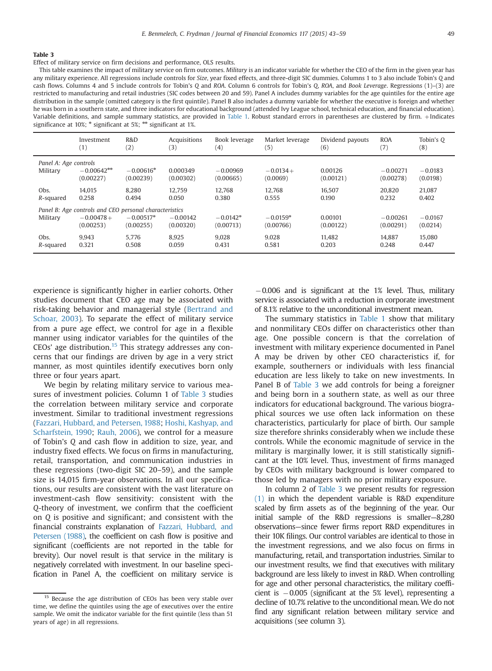<span id="page-6-0"></span>Effect of military service on firm decisions and performance, OLS results.

This table examines the impact of military service on firm outcomes. Military is an indicator variable for whether the CEO of the firm in the given year has any military experience. All regressions include controls for Size, year fixed effects, and three-digit SIC dummies. Columns 1 to 3 also include Tobin's Q and cash flows. Columns 4 and 5 include controls for Tobin's Q and ROA. Column 6 controls for Tobin's Q, ROA, and Book Leverage. Regressions (1)–(3) are restricted to manufacturing and retail industries (SIC codes between 20 and 59). Panel A includes dummy variables for the age quintiles for the entire age distribution in the sample (omitted category is the first quintile). Panel B also includes a dummy variable for whether the executive is foreign and whether he was born in a southern state, and three indicators for educational background (attended Ivy League school, technical education, and financial education). Variable definitions, and sample summary statistics, are provided in [Table 1](#page-5-0). Robust standard errors in parentheses are clustered by firm. +Indicates significance at 10%; \* significant at 5%; \*\* significant at 1%.

|                       | Investment                                                                          | R&D                      | Acquisitions            | Book leverage           | Market leverage         | Dividend payouts     | <b>ROA</b>              | Tobin's O             |
|-----------------------|-------------------------------------------------------------------------------------|--------------------------|-------------------------|-------------------------|-------------------------|----------------------|-------------------------|-----------------------|
|                       | (1)                                                                                 | (2)                      | (3)                     | (4)                     | (5)                     | (6)                  | (7)                     | (8)                   |
| Panel A: Age controls | $-0.00642**$                                                                        | $-0.00616*$              | 0.000349                | $-0.00969$              | $-0.0134+$              | 0.00126              | $-0.00271$              | $-0.0183$             |
| Military              | (0.00227)                                                                           | (0.00239)                | (0.00302)               | (0.00665)               | (0.0069)                | (0.00121)            | (0.00278)               | (0.0198)              |
| Obs.                  | 14.015                                                                              | 8.280                    | 12.759                  | 12.768                  | 12.768                  | 16.507               | 20,820                  | 21.087                |
| R-squared             | 0.258                                                                               | 0.494                    | 0.050                   | 0.380                   | 0.555                   | 0.190                | 0.232                   | 0.402                 |
| Military              | Panel B: Age controls and CEO personal characteristics<br>$-0.00478 +$<br>(0.00253) | $-0.00517*$<br>(0.00255) | $-0.00142$<br>(0.00320) | $-0.0142*$<br>(0.00713) | $-0.0159*$<br>(0.00766) | 0.00101<br>(0.00122) | $-0.00261$<br>(0.00291) | $-0.0167$<br>(0.0214) |
| Obs.                  | 9.943                                                                               | 5.776                    | 8.925                   | 9.028                   | 9.028                   | 11.482               | 14.887                  | 15.080                |
| R-squared             | 0.321                                                                               | 0.508                    | 0.059                   | 0.431                   | 0.581                   | 0.203                | 0.248                   | 0.447                 |

experience is significantly higher in earlier cohorts. Other studies document that CEO age may be associated with risk-taking behavior and managerial style ([Bertrand and](#page-15-0) [Schoar, 2003](#page-15-0)). To separate the effect of military service from a pure age effect, we control for age in a flexible manner using indicator variables for the quintiles of the CEOs' age distribution.<sup>15</sup> This strategy addresses any concerns that our findings are driven by age in a very strict manner, as most quintiles identify executives born only three or four years apart.

We begin by relating military service to various measures of investment policies. Column 1 of Table 3 studies the correlation between military service and corporate investment. Similar to traditional investment regressions ([Fazzari, Hubbard, and Petersen, 1988;](#page-15-0) [Hoshi, Kashyap, and](#page-15-0) [Scharfstein, 1990;](#page-15-0) [Rauh, 2006](#page-16-0)), we control for a measure of Tobin's Q and cash flow in addition to size, year, and industry fixed effects. We focus on firms in manufacturing, retail, transportation, and communication industries in these regressions (two-digit SIC 20–59), and the sample size is 14,015 firm-year observations. In all our specifications, our results are consistent with the vast literature on investment-cash flow sensitivity: consistent with the Q-theory of investment, we confirm that the coefficient on Q is positive and significant; and consistent with the financial constraints explanation of [Fazzari, Hubbard, and](#page-15-0) [Petersen \(1988\),](#page-15-0) the coefficient on cash flow is positive and significant (coefficients are not reported in the table for brevity). Our novel result is that service in the military is negatively correlated with investment. In our baseline specification in Panel A, the coefficient on military service is

-0.006 and is significant at the 1% level. Thus, military service is associated with a reduction in corporate investment of 8.1% relative to the unconditional investment mean.

The summary statistics in [Table 1](#page-5-0) show that military and nonmilitary CEOs differ on characteristics other than age. One possible concern is that the correlation of investment with military experience documented in Panel A may be driven by other CEO characteristics if, for example, southerners or individuals with less financial education are less likely to take on new investments. In Panel B of Table 3 we add controls for being a foreigner and being born in a southern state, as well as our three indicators for educational background. The various biographical sources we use often lack information on these characteristics, particularly for place of birth. Our sample size therefore shrinks considerably when we include these controls. While the economic magnitude of service in the military is marginally lower, it is still statistically significant at the 10% level. Thus, investment of firms managed by CEOs with military background is lower compared to those led by managers with no prior military exposure.

In column 2 of Table 3 we present results for regression [\(1\)](#page-4-0) in which the dependent variable is R&D expenditure scaled by firm assets as of the beginning of the year. Our initial sample of the R&D regressions is smaller—8,280 observations—since fewer firms report R&D expenditures in their 10K filings. Our control variables are identical to those in the investment regressions, and we also focus on firms in manufacturing, retail, and transportation industries. Similar to our investment results, we find that executives with military background are less likely to invest in R&D. When controlling for age and other personal characteristics, the military coeffi $cient$  is  $-0.005$  (significant at the 5% level), representing a decline of 10.7% relative to the unconditional mean. We do not find any significant relation between military service and acquisitions (see column 3).

<sup>&</sup>lt;sup>15</sup> Because the age distribution of CEOs has been very stable over time, we define the quintiles using the age of executives over the entire sample. We omit the indicator variable for the first quintile (less than 51 years of age) in all regressions.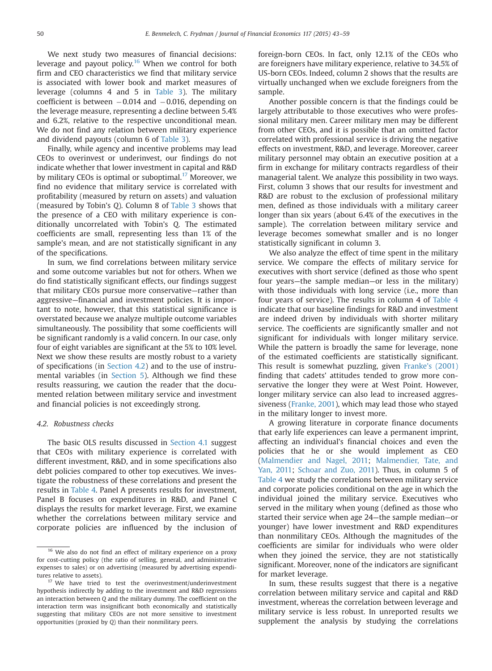We next study two measures of financial decisions: leverage and payout policy.<sup>16</sup> When we control for both firm and CEO characteristics we find that military service is associated with lower book and market measures of leverage (columns 4 and 5 in [Table 3](#page-6-0)). The military  $\text{coefficient}$  is between  $-0.014$  and  $-0.016$ , depending on the leverage measure, representing a decline between 5.4% and 6.2%, relative to the respective unconditional mean. We do not find any relation between military experience and dividend payouts (column 6 of [Table 3\)](#page-6-0).

Finally, while agency and incentive problems may lead CEOs to overinvest or underinvest, our findings do not indicate whether that lower investment in capital and R&D by military CEOs is optimal or suboptimal.<sup>17</sup> Moreover, we find no evidence that military service is correlated with profitability (measured by return on assets) and valuation (measured by Tobin's Q). Column 8 of [Table 3](#page-6-0) shows that the presence of a CEO with military experience is conditionally uncorrelated with Tobin's Q. The estimated coefficients are small, representing less than 1% of the sample's mean, and are not statistically significant in any of the specifications.

In sum, we find correlations between military service and some outcome variables but not for others. When we do find statistically significant effects, our findings suggest that military CEOs pursue more conservative—rather than aggressive—financial and investment policies. It is important to note, however, that this statistical significance is overstated because we analyze multiple outcome variables simultaneously. The possibility that some coefficients will be significant randomly is a valid concern. In our case, only four of eight variables are significant at the 5% to 10% level. Next we show these results are mostly robust to a variety of specifications (in Section 4.2) and to the use of instrumental variables (in [Section 5\)](#page-11-0). Although we find these results reassuring, we caution the reader that the documented relation between military service and investment and financial policies is not exceedingly strong.

#### 4.2. Robustness checks

The basic OLS results discussed in [Section 4.1](#page-4-0) suggest that CEOs with military experience is correlated with different investment, R&D, and in some specifications also debt policies compared to other top executives. We investigate the robustness of these correlations and present the results in [Table 4.](#page-8-0) Panel A presents results for investment, Panel B focuses on expenditures in R&D, and Panel C displays the results for market leverage. First, we examine whether the correlations between military service and corporate policies are influenced by the inclusion of foreign-born CEOs. In fact, only 12.1% of the CEOs who are foreigners have military experience, relative to 34.5% of US-born CEOs. Indeed, column 2 shows that the results are virtually unchanged when we exclude foreigners from the sample.

Another possible concern is that the findings could be largely attributable to those executives who were professional military men. Career military men may be different from other CEOs, and it is possible that an omitted factor correlated with professional service is driving the negative effects on investment, R&D, and leverage. Moreover, career military personnel may obtain an executive position at a firm in exchange for military contracts regardless of their managerial talent. We analyze this possibility in two ways. First, column 3 shows that our results for investment and R&D are robust to the exclusion of professional military men, defined as those individuals with a military career longer than six years (about 6.4% of the executives in the sample). The correlation between military service and leverage becomes somewhat smaller and is no longer statistically significant in column 3.

We also analyze the effect of time spent in the military service. We compare the effects of military service for executives with short service (defined as those who spent four years—the sample median—or less in the military) with those individuals with long service (i.e., more than four years of service). The results in column 4 of [Table 4](#page-8-0) indicate that our baseline findings for R&D and investment are indeed driven by individuals with shorter military service. The coefficients are significantly smaller and not significant for individuals with longer military service. While the pattern is broadly the same for leverage, none of the estimated coefficients are statistically significant. This result is somewhat puzzling, given [Franke's \(2001\)](#page-15-0) finding that cadets' attitudes tended to grow more conservative the longer they were at West Point. However, longer military service can also lead to increased aggressiveness ([Franke, 2001](#page-15-0)), which may lead those who stayed in the military longer to invest more.

A growing literature in corporate finance documents that early life experiences can leave a permanent imprint, affecting an individual's financial choices and even the policies that he or she would implement as CEO ([Malmendier and Nagel, 2011;](#page-15-0) [Malmendier, Tate, and](#page-15-0) [Yan, 2011](#page-15-0); [Schoar and Zuo, 2011\)](#page-16-0). Thus, in column 5 of [Table 4](#page-8-0) we study the correlations between military service and corporate policies conditional on the age in which the individual joined the military service. Executives who served in the military when young (defined as those who started their service when age 24—the sample median—or younger) have lower investment and R&D expenditures than nonmilitary CEOs. Although the magnitudes of the coefficients are similar for individuals who were older when they joined the service, they are not statistically significant. Moreover, none of the indicators are significant for market leverage.

In sum, these results suggest that there is a negative correlation between military service and capital and R&D investment, whereas the correlation between leverage and military service is less robust. In unreported results we supplement the analysis by studying the correlations

<sup>&</sup>lt;sup>16</sup> We also do not find an effect of military experience on a proxy for cost-cutting policy (the ratio of selling, general, and administrative expenses to sales) or on advertising (measured by advertising expenditures relative to assets).

<sup>&</sup>lt;sup>17</sup> We have tried to test the overinvestment/underinvestment hypothesis indirectly by adding to the investment and R&D regressions an interaction between Q and the military dummy. The coefficient on the interaction term was insignificant both economically and statistically suggesting that military CEOs are not more sensitive to investment opportunities (proxied by Q) than their nonmilitary peers.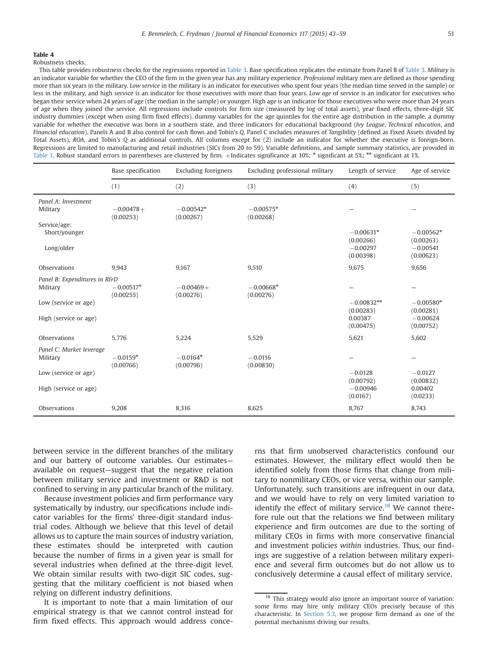<span id="page-8-0"></span>Robustness checks.

This table provides robustness checks for the regressions reported in [Table 3.](#page-6-0) Base specification replicates the estimate from Panel B of [Table 3](#page-6-0). Military is an indicator variable for whether the CEO of the firm in the given year has any military experience. Professional military men are defined as those spending more than six years in the military. Low service in the military is an indicator for executives who spent four years (the median time served in the sample) or less in the military, and high service is an indicator for those executives with more than four years. Low age of service is an indicator for executives who began their service when 24 years of age (the median in the sample) or younger. High age is an indicator for those executives who were more than 24 years of age when they joined the service. All regressions include controls for firm size (measured by log of total assets), year fixed effects, three-digit SIC industry dummies (except when using firm fixed effects), dummy variables for the age quintiles for the entire age distribution in the sample, a dummy variable for whether the executive was born in a southern state, and three indicators for educational background (Ivy League, Technical education, and Financial education). Panels A and B also control for cash flows and Tobin's Q. Panel C includes measures of Tangibility (defined as Fixed Assets divided by Total Assets), ROA, and Tobin's Q as additional controls. All columns except for (2) include an indicator for whether the executive is foreign-born. Regressions are limited to manufacturing and retail industries (SICs from 20 to 59). Variable definitions, and sample summary statistics, are provided in [Table 1.](#page-5-0) Robust standard errors in parentheses are clustered by firm. +Indicates significance at 10%; \* significant at 5%; \*\* significant at 1%.

|                                                                                           | Base specification        | <b>Excluding foreigners</b> | Excluding professional military | Length of service                                   | Age of service                                      |
|-------------------------------------------------------------------------------------------|---------------------------|-----------------------------|---------------------------------|-----------------------------------------------------|-----------------------------------------------------|
|                                                                                           | (1)                       | (2)                         | (3)                             | (4)                                                 | (5)                                                 |
| Panel A: Investment<br>Military                                                           | $-0.00478 +$<br>(0.00253) | $-0.00542*$<br>(0.00267)    | $-0.00575*$<br>(0.00268)        |                                                     |                                                     |
| Service/age:<br>Short/younger<br>Long/older                                               |                           |                             |                                 | $-0.00631*$<br>(0.00266)<br>$-0.00297$<br>(0.00398) | $-0.00562*$<br>(0.00263)<br>$-0.00541$<br>(0.00623) |
| Observations                                                                              | 9,943                     | 9,167                       | 9,510                           | 9,675                                               | 9,656                                               |
| Panel B: Expenditures in R&D<br>Military<br>Low (service or age)<br>High (service or age) | $-0.00517*$<br>(0.00255)  | $-0.00469+$<br>(0.00276)    | $-0.00668*$<br>(0.00276)        | $-0.00832**$<br>(0.00283)<br>0.00387<br>(0.00475)   | $-0.00580*$<br>(0.00281)<br>$-0.00624$<br>(0.00752) |
| <b>Observations</b>                                                                       | 5,776                     | 5,224                       | 5,529                           | 5,621                                               | 5,602                                               |
| Panel C: Market leverage<br>Military                                                      | $-0.0159*$<br>(0.00766)   | $-0.0164*$<br>(0.00796)     | $-0.0116$<br>(0.00830)          |                                                     |                                                     |
| Low (service or age)<br>High (service or age)                                             |                           |                             |                                 | $-0.0128$<br>(0.00792)<br>$-0.00946$<br>(0.0167)    | $-0.0127$<br>(0.00832)<br>0.00402<br>(0.0233)       |
| Observations                                                                              | 9,208                     | 8,316                       | 8,625                           | 8,767                                               | 8,743                                               |

between service in the different branches of the military and our battery of outcome variables. Our estimates available on request—suggest that the negative relation between military service and investment or R&D is not confined to serving in any particular branch of the military.

Because investment policies and firm performance vary systematically by industry, our specifications include indicator variables for the firms' three-digit standard industrial codes. Although we believe that this level of detail allows us to capture the main sources of industry variation, these estimates should be interpreted with caution because the number of firms in a given year is small for several industries when defined at the three-digit level. We obtain similar results with two-digit SIC codes, suggesting that the military coefficient is not biased when relying on different industry definitions.

It is important to note that a main limitation of our empirical strategy is that we cannot control instead for firm fixed effects. This approach would address conce-

rns that firm unobserved characteristics confound our estimates. However, the military effect would then be identified solely from those firms that change from military to nonmilitary CEOs, or vice versa, within our sample. Unfortunately, such transitions are infrequent in our data, and we would have to rely on very limited variation to identify the effect of military service.<sup>18</sup> We cannot therefore rule out that the relations we find between military experience and firm outcomes are due to the sorting of military CEOs in firms with more conservative financial and investment policies within industries. Thus, our findings are suggestive of a relation between military experience and several firm outcomes but do not allow us to conclusively determine a causal effect of military service.

<sup>&</sup>lt;sup>18</sup> This strategy would also ignore an important source of variation: some firms may hire only military CEOs precisely because of this characteristic. In [Section 5.3,](#page-14-0) we propose firm demand as one of the potential mechanisms driving our results.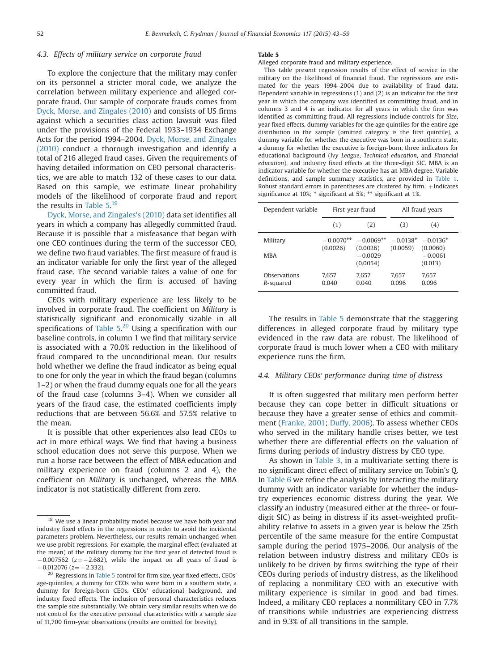#### 4.3. Effects of military service on corporate fraud

To explore the conjecture that the military may confer on its personnel a stricter moral code, we analyze the correlation between military experience and alleged corporate fraud. Our sample of corporate frauds comes from [Dyck, Morse, and Zingales \(2010\)](#page-15-0) and consists of US firms against which a securities class action lawsuit was filed under the provisions of the Federal 1933–1934 Exchange Acts for the period 1994–2004. [Dyck, Morse, and Zingales](#page-15-0) [\(2010\)](#page-15-0) conduct a thorough investigation and identify a total of 216 alleged fraud cases. Given the requirements of having detailed information on CEO personal characteristics, we are able to match 132 of these cases to our data. Based on this sample, we estimate linear probability models of the likelihood of corporate fraud and report the results in Table 5.<sup>19</sup>

[Dyck, Morse, and Zingales's \(2010\)](#page-15-0) data set identifies all years in which a company has allegedly committed fraud. Because it is possible that a misfeasance that began with one CEO continues during the term of the successor CEO, we define two fraud variables. The first measure of fraud is an indicator variable for only the first year of the alleged fraud case. The second variable takes a value of one for every year in which the firm is accused of having committed fraud.

CEOs with military experience are less likely to be involved in corporate fraud. The coefficient on Military is statistically significant and economically sizable in all specifications of Table 5.<sup>20</sup> Using a specification with our baseline controls, in column 1 we find that military service is associated with a 70.0% reduction in the likelihood of fraud compared to the unconditional mean. Our results hold whether we define the fraud indicator as being equal to one for only the year in which the fraud began (columns 1–2) or when the fraud dummy equals one for all the years of the fraud case (columns 3–4). When we consider all years of the fraud case, the estimated coefficients imply reductions that are between 56.6% and 57.5% relative to the mean.

It is possible that other experiences also lead CEOs to act in more ethical ways. We find that having a business school education does not serve this purpose. When we run a horse race between the effect of MBA education and military experience on fraud (columns 2 and 4), the coefficient on Military is unchanged, whereas the MBA indicator is not statistically different from zero.

#### Table 5

Alleged corporate fraud and military experience.

This table present regression results of the effect of service in the military on the likelihood of financial fraud. The regressions are estimated for the years 1994–2004 due to availability of fraud data. Dependent variable in regressions (1) and (2) is an indicator for the first year in which the company was identified as committing fraud, and in columns 3 and 4 is an indicator for all years in which the firm was identified as committing fraud. All regressions include controls for Size, year fixed effects, dummy variables for the age quintiles for the entire age distribution in the sample (omitted category is the first quintile), a dummy variable for whether the executive was born in a southern state, a dummy for whether the executive is foreign-born, three indicators for educational background (Ivy League, Technical education, and Financial education), and industry fixed effects at the three-digit SIC. MBA is an indicator variable for whether the executive has an MBA degree. Variable definitions, and sample summary statistics, are provided in [Table 1.](#page-5-0) Robust standard errors in parentheses are clustered by firm.  $\pm$ Indicates significance at 10%; \* significant at 5%; \*\* significant at 1%.

| Dependent variable        |                         | First-year fraud                                 | All fraud years        |                                                |  |
|---------------------------|-------------------------|--------------------------------------------------|------------------------|------------------------------------------------|--|
|                           | (1)                     | (2)                                              | (3)                    | (4)                                            |  |
| Military<br><b>MBA</b>    | $-0.0070**$<br>(0.0026) | $-0.0069**$<br>(0.0026)<br>$-0.0029$<br>(0.0054) | $-0.0138*$<br>(0.0059) | $-0.0136*$<br>(0.0060)<br>$-0.0061$<br>(0.013) |  |
| Observations<br>R-squared | 7.657<br>0.040          | 7.657<br>0.040                                   | 7.657<br>0.096         | 7.657<br>0.096                                 |  |

The results in Table 5 demonstrate that the staggering differences in alleged corporate fraud by military type evidenced in the raw data are robust. The likelihood of corporate fraud is much lower when a CEO with military experience runs the firm.

#### 4.4. Military CEOs' performance during time of distress

It is often suggested that military men perform better because they can cope better in difficult situations or because they have a greater sense of ethics and commitment [\(Franke, 2001](#page-15-0); [Duffy, 2006](#page-15-0)). To assess whether CEOs who served in the military handle crises better, we test whether there are differential effects on the valuation of firms during periods of industry distress by CEO type.

As shown in [Table 3,](#page-6-0) in a multivariate setting there is no significant direct effect of military service on Tobin's Q. In [Table 6](#page-10-0) we refine the analysis by interacting the military dummy with an indicator variable for whether the industry experiences economic distress during the year. We classify an industry (measured either at the three- or fourdigit SIC) as being in distress if its asset-weighted profitability relative to assets in a given year is below the 25th percentile of the same measure for the entire Compustat sample during the period 1975–2006. Our analysis of the relation between industry distress and military CEOs is unlikely to be driven by firms switching the type of their CEOs during periods of industry distress, as the likelihood of replacing a nonmilitary CEO with an executive with military experience is similar in good and bad times. Indeed, a military CEO replaces a nonmilitary CEO in 7.7% of transitions while industries are experiencing distress and in 9.3% of all transitions in the sample.

<sup>&</sup>lt;sup>19</sup> We use a linear probability model because we have both year and industry fixed effects in the regressions in order to avoid the incidental parameters problem. Nevertheless, our results remain unchanged when we use probit regressions. For example, the marginal effect (evaluated at the mean) of the military dummy for the first year of detected fraud is  $-0.007562$  ( $z = -2.682$ ), while the impact on all years of fraud is  $-0.012076$  ( $z = -2.332$ ).

<sup>&</sup>lt;sup>20</sup> Regressions in Table 5 control for firm size, year fixed effects, CEOs' age-quintiles, a dummy for CEOs who were born in a southern state, a dummy for foreign-born CEOs, CEOs' educational background, and industry fixed effects. The inclusion of personal characteristics reduces the sample size substantially. We obtain very similar results when we do not control for the executive personal characteristics with a sample size of 11,700 firm-year observations (results are omitted for brevity).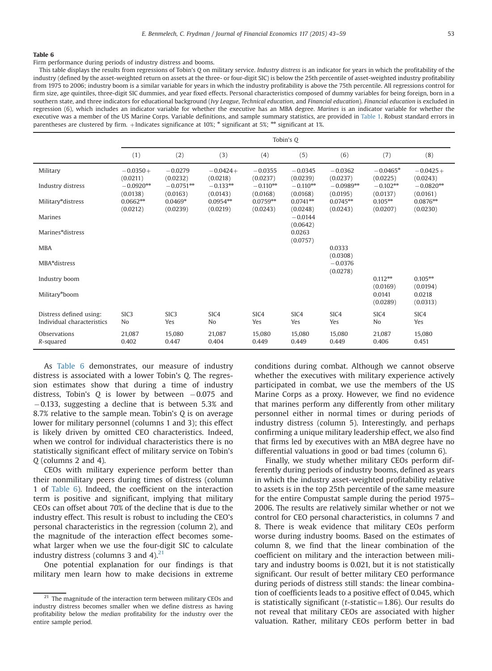<span id="page-10-0"></span>Firm performance during periods of industry distress and booms.

This table displays the results from regressions of Tobin's Q on military service. Industry distress is an indicator for years in which the profitability of the industry (defined by the asset-weighted return on assets at the three- or four-digit SIC) is below the 25th percentile of asset-weighted industry profitability from 1975 to 2006; industry boom is a similar variable for years in which the industry profitability is above the 75th percentile. All regressions control for firm size, age quintiles, three-digit SIC dummies, and year fixed effects. Personal characteristics composed of dummy variables for being foreign, born in a southern state, and three indicators for educational background (Ivy League, Technical education, and Financial education). Financial education is excluded in regression (6), which includes an indicator variable for whether the executive has an MBA degree. Marines is an indicator variable for whether the executive was a member of the US Marine Corps. Variable definitions, and sample summary statistics, are provided in [Table 1.](#page-5-0) Robust standard errors in parentheses are clustered by firm. +Indicates significance at 10%; \* significant at 5%; \*\* significant at 1%.

|                                                       |                         |                          |                         |                         | Tobin's O               |                         |                        |                          |
|-------------------------------------------------------|-------------------------|--------------------------|-------------------------|-------------------------|-------------------------|-------------------------|------------------------|--------------------------|
|                                                       | (1)                     | (2)                      | (3)                     | (4)                     | (5)                     | (6)                     | (7)                    | (8)                      |
| Military                                              | $-0.0350+$<br>(0.0211)  | $-0.0279$<br>(0.0232)    | $-0.0424+$<br>(0.0218)  | $-0.0355$<br>(0.0237)   | $-0.0345$<br>(0.0239)   | $-0.0362$<br>(0.0237)   | $-0.0465*$<br>(0.0225) | $-0.0425+$<br>(0.0243)   |
| Industry distress                                     | $-0.0920**$<br>(0.0138) | $-0.0751***$<br>(0.0163) | $-0.133**$<br>(0.0143)  | $-0.110**$<br>(0.0168)  | $-0.110***$<br>(0.0168) | $-0.0989**$<br>(0.0195) | $-0.102**$<br>(0.0137) | $-0.0820***$<br>(0.0161) |
| Military*distress                                     | $0.0662**$<br>(0.0212)  | $0.0469*$<br>(0.0239)    | $0.0954***$<br>(0.0219) | $0.0759***$<br>(0.0243) | $0.0741***$<br>(0.0248) | $0.0745**$<br>(0.0243)  | $0.105***$<br>(0.0207) | $0.0876***$<br>(0.0230)  |
| Marines                                               |                         |                          |                         |                         | $-0.0144$<br>(0.0642)   |                         |                        |                          |
| Marines*distress                                      |                         |                          |                         |                         | 0.0263<br>(0.0757)      |                         |                        |                          |
| <b>MBA</b>                                            |                         |                          |                         |                         |                         | 0.0333<br>(0.0308)      |                        |                          |
| MBA*distress                                          |                         |                          |                         |                         |                         | $-0.0376$<br>(0.0278)   |                        |                          |
| Industry boom                                         |                         |                          |                         |                         |                         |                         | $0.112***$<br>(0.0169) | $0.105***$<br>(0.0194)   |
| Military*boom                                         |                         |                          |                         |                         |                         |                         | 0.0141<br>(0.0289)     | 0.0218<br>(0.0313)       |
| Distress defined using:<br>Individual characteristics | SIC <sub>3</sub><br>No  | SIC <sub>3</sub><br>Yes  | SIC4<br>N <sub>0</sub>  | SIC4<br>Yes             | SIC4<br>Yes             | SIC4<br>Yes             | SIC4<br>No             | SIC <sub>4</sub><br>Yes  |
| Observations<br>R-squared                             | 21,087<br>0.402         | 15,080<br>0.447          | 21,087<br>0.404         | 15,080<br>0.449         | 15,080<br>0.449         | 15,080<br>0.449         | 21,087<br>0.406        | 15,080<br>0.451          |

As Table 6 demonstrates, our measure of industry distress is associated with a lower Tobin's Q. The regression estimates show that during a time of industry distress, Tobin's  $Q$  is lower by between  $-0.075$  and -0.133, suggesting a decline that is between 5.3% and 8.7% relative to the sample mean. Tobin's Q is on average lower for military personnel (columns 1 and 3); this effect is likely driven by omitted CEO characteristics. Indeed, when we control for individual characteristics there is no statistically significant effect of military service on Tobin's Q (columns 2 and 4).

CEOs with military experience perform better than their nonmilitary peers during times of distress (column 1 of Table 6). Indeed, the coefficient on the interaction term is positive and significant, implying that military CEOs can offset about 70% of the decline that is due to the industry effect. This result is robust to including the CEO's personal characteristics in the regression (column 2), and the magnitude of the interaction effect becomes somewhat larger when we use the four-digit SIC to calculate industry distress (columns 3 and 4). $21$ 

One potential explanation for our findings is that military men learn how to make decisions in extreme conditions during combat. Although we cannot observe whether the executives with military experience actively participated in combat, we use the members of the US Marine Corps as a proxy. However, we find no evidence that marines perform any differently from other military personnel either in normal times or during periods of industry distress (column 5). Interestingly, and perhaps confirming a unique military leadership effect, we also find that firms led by executives with an MBA degree have no differential valuations in good or bad times (column 6).

Finally, we study whether military CEOs perform differently during periods of industry booms, defined as years in which the industry asset-weighted profitability relative to assets is in the top 25th percentile of the same measure for the entire Compustat sample during the period 1975– 2006. The results are relatively similar whether or not we control for CEO personal characteristics, in columns 7 and 8. There is weak evidence that military CEOs perform worse during industry booms. Based on the estimates of column 8, we find that the linear combination of the coefficient on military and the interaction between military and industry booms is 0.021, but it is not statistically significant. Our result of better military CEO performance during periods of distress still stands: the linear combination of coefficients leads to a positive effect of 0.045, which is statistically significant ( $t$ -statistic = 1.86). Our results do not reveal that military CEOs are associated with higher valuation. Rather, military CEOs perform better in bad

 $^{21}$  The magnitude of the interaction term between military CEOs and industry distress becomes smaller when we define distress as having profitability below the median profitability for the industry over the entire sample period.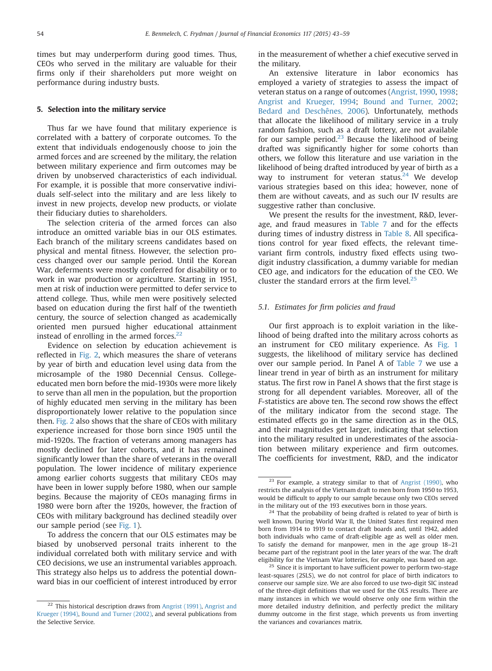<span id="page-11-0"></span>times but may underperform during good times. Thus, CEOs who served in the military are valuable for their firms only if their shareholders put more weight on performance during industry busts.

## 5. Selection into the military service

Thus far we have found that military experience is correlated with a battery of corporate outcomes. To the extent that individuals endogenously choose to join the armed forces and are screened by the military, the relation between military experience and firm outcomes may be driven by unobserved characteristics of each individual. For example, it is possible that more conservative individuals self-select into the military and are less likely to invest in new projects, develop new products, or violate their fiduciary duties to shareholders.

The selection criteria of the armed forces can also introduce an omitted variable bias in our OLS estimates. Each branch of the military screens candidates based on physical and mental fitness. However, the selection process changed over our sample period. Until the Korean War, deferments were mostly conferred for disability or to work in war production or agriculture. Starting in 1951, men at risk of induction were permitted to defer service to attend college. Thus, while men were positively selected based on education during the first half of the twentieth century, the source of selection changed as academically oriented men pursued higher educational attainment instead of enrolling in the armed forces. $22$ 

Evidence on selection by education achievement is reflected in [Fig. 2,](#page-12-0) which measures the share of veterans by year of birth and education level using data from the microsample of the 1980 Decennial Census. Collegeeducated men born before the mid-1930s were more likely to serve than all men in the population, but the proportion of highly educated men serving in the military has been disproportionately lower relative to the population since then. [Fig. 2](#page-12-0) also shows that the share of CEOs with military experience increased for those born since 1905 until the mid-1920s. The fraction of veterans among managers has mostly declined for later cohorts, and it has remained significantly lower than the share of veterans in the overall population. The lower incidence of military experience among earlier cohorts suggests that military CEOs may have been in lower supply before 1980, when our sample begins. Because the majority of CEOs managing firms in 1980 were born after the 1920s, however, the fraction of CEOs with military background has declined steadily over our sample period (see [Fig. 1\)](#page-1-0).

To address the concern that our OLS estimates may be biased by unobserved personal traits inherent to the individual correlated both with military service and with CEO decisions, we use an instrumental variables approach. This strategy also helps us to address the potential downward bias in our coefficient of interest introduced by error

in the measurement of whether a chief executive served in the military.

An extensive literature in labor economics has employed a variety of strategies to assess the impact of veteran status on a range of outcomes ([Angrist, 1990,](#page-15-0) [1998](#page-15-0); [Angrist and Krueger, 1994;](#page-15-0) [Bound and Turner, 2002](#page-15-0); [Bedard and Deschênes, 2006](#page-15-0)). Unfortunately, methods that allocate the likelihood of military service in a truly random fashion, such as a draft lottery, are not available for our sample period. $23$  Because the likelihood of being drafted was significantly higher for some cohorts than others, we follow this literature and use variation in the likelihood of being drafted introduced by year of birth as a way to instrument for veteran status.<sup>24</sup> We develop various strategies based on this idea; however, none of them are without caveats, and as such our IV results are suggestive rather than conclusive.

We present the results for the investment, R&D, leverage, and fraud measures in [Table 7](#page-12-0) and for the effects during times of industry distress in [Table 8](#page-13-0). All specifications control for year fixed effects, the relevant timevariant firm controls, industry fixed effects using twodigit industry classification, a dummy variable for median CEO age, and indicators for the education of the CEO. We cluster the standard errors at the firm level. $25$ 

## 5.1. Estimates for firm policies and fraud

Our first approach is to exploit variation in the likelihood of being drafted into the military across cohorts as an instrument for CEO military experience. As [Fig. 1](#page-1-0) suggests, the likelihood of military service has declined over our sample period. In Panel A of [Table 7](#page-12-0) we use a linear trend in year of birth as an instrument for military status. The first row in Panel A shows that the first stage is strong for all dependent variables. Moreover, all of the F-statistics are above ten. The second row shows the effect of the military indicator from the second stage. The estimated effects go in the same direction as in the OLS, and their magnitudes get larger, indicating that selection into the military resulted in underestimates of the association between military experience and firm outcomes. The coefficients for investment, R&D, and the indicator

<sup>25</sup> Since it is important to have sufficient power to perform two-stage least-squares (2SLS), we do not control for place of birth indicators to conserve our sample size. We are also forced to use two-digit SIC instead of the three-digit definitions that we used for the OLS results. There are many instances in which we would observe only one firm within the more detailed industry definition, and perfectly predict the military dummy outcome in the first stage, which prevents us from inverting the variances and covariances matrix.

 $22$  This historical description draws from [Angrist \(1991\),](#page-15-0) [Angrist and](#page-15-0) [Krueger \(1994\),](#page-15-0) [Bound and Turner \(2002\),](#page-15-0) and several publications from the Selective Service.

<sup>&</sup>lt;sup>23</sup> For example, a strategy similar to that of [Angrist \(1990\),](#page-15-0) who restricts the analysis of the Vietnam draft to men born from 1950 to 1953, would be difficult to apply to our sample because only two CEOs served in the military out of the 193 executives born in those years.

<sup>&</sup>lt;sup>24</sup> That the probability of being drafted is related to year of birth is well known. During World War II, the United States first required men born from 1914 to 1919 to contact draft boards and, until 1942, added both individuals who came of draft-eligible age as well as older men. To satisfy the demand for manpower, men in the age group 18–21 became part of the registrant pool in the later years of the war. The draft eligibility for the Vietnam War lotteries, for example, was based on age.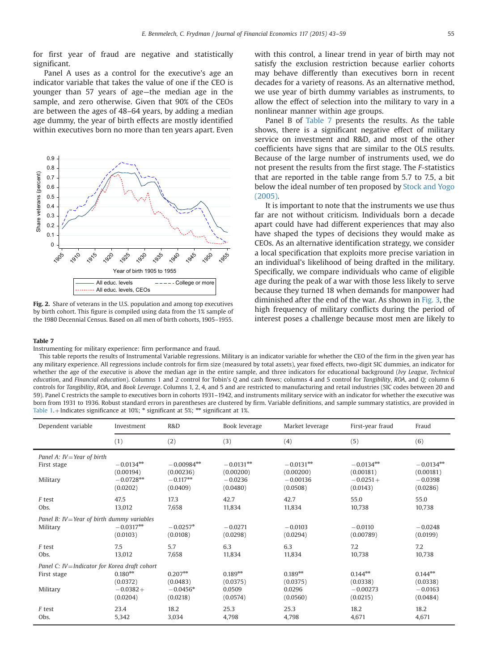<span id="page-12-0"></span>for first year of fraud are negative and statistically significant.

Panel A uses as a control for the executive's age an indicator variable that takes the value of one if the CEO is younger than 57 years of age—the median age in the sample, and zero otherwise. Given that 90% of the CEOs are between the ages of 48–64 years, by adding a median age dummy, the year of birth effects are mostly identified within executives born no more than ten years apart. Even



Fig. 2. Share of veterans in the U.S. population and among top executives by birth cohort. This figure is compiled using data from the 1% sample of the 1980 Decennial Census. Based on all men of birth cohorts, 1905–1955.

#### Table 7

Instrumenting for military experience: firm performance and fraud.

with this control, a linear trend in year of birth may not satisfy the exclusion restriction because earlier cohorts may behave differently than executives born in recent decades for a variety of reasons. As an alternative method, we use year of birth dummy variables as instruments, to allow the effect of selection into the military to vary in a nonlinear manner within age groups.

Panel B of Table 7 presents the results. As the table shows, there is a significant negative effect of military service on investment and R&D, and most of the other coefficients have signs that are similar to the OLS results. Because of the large number of instruments used, we do not present the results from the first stage. The F-statistics that are reported in the table range from 5.7 to 7.5, a bit below the ideal number of ten proposed by [Stock and Yogo](#page-16-0) [\(2005\)](#page-16-0).

It is important to note that the instruments we use thus far are not without criticism. Individuals born a decade apart could have had different experiences that may also have shaped the types of decisions they would make as CEOs. As an alternative identification strategy, we consider a local specification that exploits more precise variation in an individual's likelihood of being drafted in the military. Specifically, we compare individuals who came of eligible age during the peak of a war with those less likely to serve because they turned 18 when demands for manpower had diminished after the end of the war. As shown in [Fig. 3,](#page-13-0) the high frequency of military conflicts during the period of interest poses a challenge because most men are likely to

This table reports the results of Instrumental Variable regressions. Military is an indicator variable for whether the CEO of the firm in the given year has any military experience. All regressions include controls for firm size (measured by total assets), year fixed effects, two-digit SIC dummies, an indicator for whether the age of the executive is above the median age in the entire sample, and three indicators for educational background (Ivy League, Technical education, and Financial education). Columns 1 and 2 control for Tobin's Q and cash flows; columns 4 and 5 control for Tangibility, ROA, and Q; column 6 controls for Tangibility, ROA, and Book Leverage. Columns 1, 2, 4, and 5 and are restricted to manufacturing and retail industries (SIC codes between 20 and 59). Panel C restricts the sample to executives born in cohorts 1931–1942, and instruments military service with an indicator for whether the executive was born from 1931 to 1936. Robust standard errors in parentheses are clustered by firm. Variable definitions, and sample summary statistics, are provided in [Table 1.](#page-5-0)+Indicates significance at 10%;  $*$  significant at 5%; \*\* significant at 1%.

| Dependent variable                                                      | Investment                                          | R&D                                                  | Book leverage                                     | Market leverage                                     | First-year fraud                                    | Fraud                                             |
|-------------------------------------------------------------------------|-----------------------------------------------------|------------------------------------------------------|---------------------------------------------------|-----------------------------------------------------|-----------------------------------------------------|---------------------------------------------------|
|                                                                         | (1)                                                 | (2)                                                  | (3)                                               | (4)                                                 | (5)                                                 | (6)                                               |
| Panel A: $IV = Year$ of birth<br>First stage<br>Military                | $-0.0134**$<br>(0.00194)<br>$-0.0728**$<br>(0.0202) | $-0.00984**$<br>(0.00236)<br>$-0.117***$<br>(0.0409) | $-0.0131**$<br>(0.00200)<br>$-0.0236$<br>(0.0480) | $-0.0131***$<br>(0.00200)<br>$-0.00136$<br>(0.0508) | $-0.0134***$<br>(0.00181)<br>$-0.0251+$<br>(0.0143) | $-0.0134**$<br>(0.00181)<br>$-0.0398$<br>(0.0286) |
| F test                                                                  | 47.5                                                | 17.3                                                 | 42.7                                              | 42.7                                                | 55.0                                                | 55.0                                              |
| Obs.                                                                    | 13,012                                              | 7,658                                                | 11,834                                            | 11,834                                              | 10,738                                              | 10,738                                            |
| Panel B: $IV = Year$ of birth dummy variables                           | $-0.0317**$                                         | $-0.0257*$                                           | $-0.0271$                                         | $-0.0103$                                           | $-0.0110$                                           | $-0.0248$                                         |
| Military                                                                | (0.0103)                                            | (0.0108)                                             | (0.0298)                                          | (0.0294)                                            | (0.00789)                                           | (0.0199)                                          |
| F test                                                                  | 7.5                                                 | 5.7                                                  | 6.3                                               | 6.3                                                 | 7.2                                                 | 7.2                                               |
| Obs.                                                                    | 13,012                                              | 7,658                                                | 11,834                                            | 11,834                                              | 10,738                                              | 10,738                                            |
| Panel C: IV=Indicator for Korea draft cohort<br>First stage<br>Military | $0.180***$<br>(0.0372)<br>$-0.0382+$<br>(0.0204)    | $0.207**$<br>(0.0483)<br>$-0.0456*$<br>(0.0218)      | $0.189***$<br>(0.0375)<br>0.0509<br>(0.0574)      | $0.189***$<br>(0.0375)<br>0.0296<br>(0.0560)        | $0.144***$<br>(0.0338)<br>$-0.00273$<br>(0.0215)    | $0.144***$<br>(0.0338)<br>$-0.0163$<br>(0.0484)   |
| F test                                                                  | 23.4                                                | 18.2                                                 | 25.3                                              | 25.3                                                | 18.2                                                | 18.2                                              |
| Obs.                                                                    | 5,342                                               | 3,034                                                | 4,798                                             | 4,798                                               | 4,671                                               | 4,671                                             |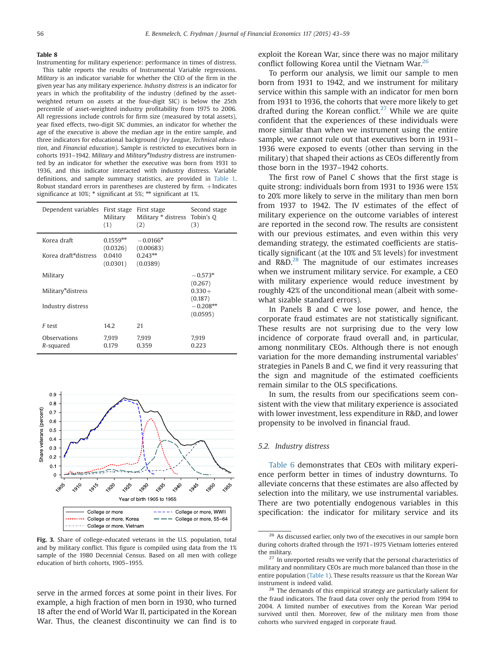<span id="page-13-0"></span>Instrumenting for military experience: performance in times of distress. This table reports the results of Instrumental Variable regressions. Military is an indicator variable for whether the CEO of the firm in the given year has any military experience. Industry distress is an indicator for years in which the profitability of the industry (defined by the assetweighted return on assets at the four-digit SIC) is below the 25th percentile of asset-weighted industry profitability from 1975 to 2006. All regressions include controls for firm size (measured by total assets), year fixed effects, two-digit SIC dummies, an indicator for whether the age of the executive is above the median age in the entire sample, and three indicators for educational background (Ivy League, Technical education, and Financial education). Sample is restricted to executives born in cohorts 1931-1942. Military and Military\*Industry distress are instrumented by an indicator for whether the executive was born from 1931 to 1936, and this indicator interacted with industry distress. Variable definitions, and sample summary statistics, are provided in [Table 1.](#page-5-0) Robust standard errors in parentheses are clustered by firm.  $+$ Indicates significance at 10%;  $*$  significant at 5%; \*\* significant at 1%.

| Dependent variables First stage | Military<br>(1)         | First stage<br>Military * distress<br>(2) | Second stage<br>Tobin's Q<br>(3) |
|---------------------------------|-------------------------|-------------------------------------------|----------------------------------|
| Korea draft                     | $0.1559***$<br>(0.0326) | $-0.0166*$<br>(0.00683)                   |                                  |
| Korea draft*distress            | 0.0410<br>(0.0301)      | $0.243**$<br>(0.0389)                     |                                  |
| Military                        |                         |                                           | $-0.573*$                        |
| Military*distress               |                         |                                           | (0.267)<br>$0.330+$<br>(0.187)   |
| Industry distress               |                         |                                           | $-0.208***$<br>(0.0595)          |
| F test                          | 14.2                    | 21                                        |                                  |
| Observations<br>R-squared       | 7.919<br>0.179          | 7.919<br>0.359                            | 7.919<br>0.223                   |



Fig. 3. Share of college-educated veterans in the U.S. population, total and by military conflict. This figure is compiled using data from the 1% sample of the 1980 Decennial Census. Based on all men with college education of birth cohorts, 1905–1955.

serve in the armed forces at some point in their lives. For example, a high fraction of men born in 1930, who turned 18 after the end of World War II, participated in the Korean War. Thus, the cleanest discontinuity we can find is to

exploit the Korean War, since there was no major military conflict following Korea until the Vietnam War.<sup>26</sup>

To perform our analysis, we limit our sample to men born from 1931 to 1942, and we instrument for military service within this sample with an indicator for men born from 1931 to 1936, the cohorts that were more likely to get drafted during the Korean conflict.<sup>27</sup> While we are quite confident that the experiences of these individuals were more similar than when we instrument using the entire sample, we cannot rule out that executives born in 1931– 1936 were exposed to events (other than serving in the military) that shaped their actions as CEOs differently from those born in the 1937–1942 cohorts.

The first row of Panel C shows that the first stage is quite strong: individuals born from 1931 to 1936 were 15% to 20% more likely to serve in the military than men born from 1937 to 1942. The IV estimates of the effect of military experience on the outcome variables of interest are reported in the second row. The results are consistent with our previous estimates, and even within this very demanding strategy, the estimated coefficients are statistically significant (at the 10% and 5% levels) for investment and  $R&D.<sup>28</sup>$  The magnitude of our estimates increases when we instrument military service. For example, a CEO with military experience would reduce investment by roughly 42% of the unconditional mean (albeit with somewhat sizable standard errors).

In Panels B and C we lose power, and hence, the corporate fraud estimates are not statistically significant. These results are not surprising due to the very low incidence of corporate fraud overall and, in particular, among nonmilitary CEOs. Although there is not enough variation for the more demanding instrumental variables' strategies in Panels B and C, we find it very reassuring that the sign and magnitude of the estimated coefficients remain similar to the OLS specifications.

In sum, the results from our specifications seem consistent with the view that military experience is associated with lower investment, less expenditure in R&D, and lower propensity to be involved in financial fraud.

## 5.2. Industry distress

[Table 6](#page-10-0) demonstrates that CEOs with military experience perform better in times of industry downturns. To alleviate concerns that these estimates are also affected by selection into the military, we use instrumental variables. There are two potentially endogenous variables in this specification: the indicator for military service and its

<sup>&</sup>lt;sup>26</sup> As discussed earlier, only two of the executives in our sample born during cohorts drafted through the 1971–1975 Vietnam lotteries entered the military.

 $27$  In unreported results we verify that the personal characteristics of military and nonmilitary CEOs are much more balanced than those in the entire population [\(Table 1\)](#page-5-0). These results reassure us that the Korean War instrument is indeed valid.

 $28$ <sup>8</sup> The demands of this empirical strategy are particularly salient for the fraud indicators. The fraud data cover only the period from 1994 to 2004. A limited number of executives from the Korean War period survived until then. Moreover, few of the military men from those cohorts who survived engaged in corporate fraud.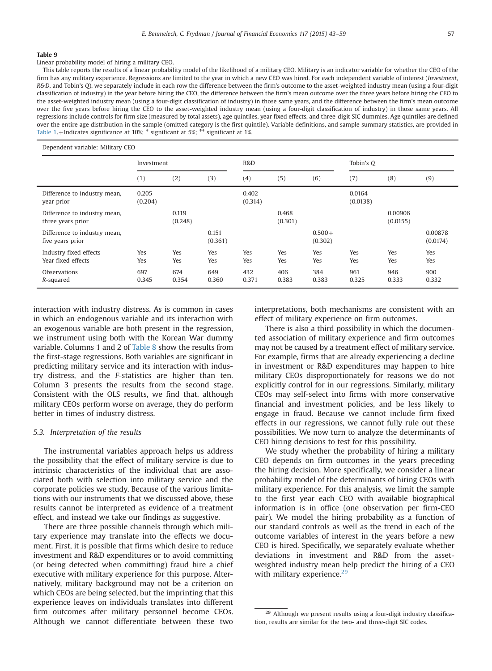<span id="page-14-0"></span>Linear probability model of hiring a military CEO.

This table reports the results of a linear probability model of the likelihood of a military CEO. Military is an indicator variable for whether the CEO of the firm has any military experience. Regressions are limited to the year in which a new CEO was hired. For each independent variable of interest (Investment, R&D, and Tobin's Q), we separately include in each row the difference between the firm's outcome to the asset-weighted industry mean (using a four-digit classification of industry) in the year before hiring the CEO, the difference between the firm's mean outcome over the three years before hiring the CEO to the asset-weighted industry mean (using a four-digit classification of industry) in those same years, and the difference between the firm's mean outcome over the five years before hiring the CEO to the asset-weighted industry mean (using a four-digit classification of industry) in those same years. All regressions include controls for firm size (measured by total assets), age quintiles, year fixed effects, and three-digit SIC dummies. Age quintiles are defined over the entire age distribution in the sample (omitted category is the first quintile). Variable definitions, and sample summary statistics, are provided in [Table 1.](#page-5-0)+Indicates significance at 10%;  $*$  significant at 5%; \*\* significant at 1%.

#### Dependent variable: Military CEO

|                                                   | Investment       |                  |                  | R&D              |                  |                     | Tobin's Q          |                     |                     |
|---------------------------------------------------|------------------|------------------|------------------|------------------|------------------|---------------------|--------------------|---------------------|---------------------|
|                                                   | (1)              | (2)              | (3)              | (4)              | (5)              | (6)                 | (7)                | (8)                 | (9)                 |
| Difference to industry mean,<br>year prior        | 0.205<br>(0.204) |                  |                  | 0.402<br>(0.314) |                  |                     | 0.0164<br>(0.0138) |                     |                     |
| Difference to industry mean,<br>three years prior |                  | 0.119<br>(0.248) |                  |                  | 0.468<br>(0.301) |                     |                    | 0.00906<br>(0.0155) |                     |
| Difference to industry mean,<br>five years prior  |                  |                  | 0.151<br>(0.361) |                  |                  | $0.500+$<br>(0.302) |                    |                     | 0.00878<br>(0.0174) |
| Industry fixed effects<br>Year fixed effects      | Yes<br>Yes       | Yes<br>Yes       | Yes<br>Yes       | Yes<br>Yes       | Yes<br>Yes       | Yes<br>Yes          | Yes<br>Yes         | Yes<br>Yes          | Yes<br>Yes          |
| Observations<br>R-squared                         | 697<br>0.345     | 674<br>0.354     | 649<br>0.360     | 432<br>0.371     | 406<br>0.383     | 384<br>0.383        | 961<br>0.325       | 946<br>0.333        | 900<br>0.332        |

interaction with industry distress. As is common in cases in which an endogenous variable and its interaction with an exogenous variable are both present in the regression, we instrument using both with the Korean War dummy variable. Columns 1 and 2 of [Table 8](#page-13-0) show the results from the first-stage regressions. Both variables are significant in predicting military service and its interaction with industry distress, and the F-statistics are higher than ten. Column 3 presents the results from the second stage. Consistent with the OLS results, we find that, although military CEOs perform worse on average, they do perform better in times of industry distress.

#### 5.3. Interpretation of the results

The instrumental variables approach helps us address the possibility that the effect of military service is due to intrinsic characteristics of the individual that are associated both with selection into military service and the corporate policies we study. Because of the various limitations with our instruments that we discussed above, these results cannot be interpreted as evidence of a treatment effect, and instead we take our findings as suggestive.

There are three possible channels through which military experience may translate into the effects we document. First, it is possible that firms which desire to reduce investment and R&D expenditures or to avoid committing (or being detected when committing) fraud hire a chief executive with military experience for this purpose. Alternatively, military background may not be a criterion on which CEOs are being selected, but the imprinting that this experience leaves on individuals translates into different firm outcomes after military personnel become CEOs. Although we cannot differentiate between these two

interpretations, both mechanisms are consistent with an effect of military experience on firm outcomes.

There is also a third possibility in which the documented association of military experience and firm outcomes may not be caused by a treatment effect of military service. For example, firms that are already experiencing a decline in investment or R&D expenditures may happen to hire military CEOs disproportionately for reasons we do not explicitly control for in our regressions. Similarly, military CEOs may self-select into firms with more conservative financial and investment policies, and be less likely to engage in fraud. Because we cannot include firm fixed effects in our regressions, we cannot fully rule out these possibilities. We now turn to analyze the determinants of CEO hiring decisions to test for this possibility.

We study whether the probability of hiring a military CEO depends on firm outcomes in the years preceding the hiring decision. More specifically, we consider a linear probability model of the determinants of hiring CEOs with military experience. For this analysis, we limit the sample to the first year each CEO with available biographical information is in office (one observation per firm-CEO pair). We model the hiring probability as a function of our standard controls as well as the trend in each of the outcome variables of interest in the years before a new CEO is hired. Specifically, we separately evaluate whether deviations in investment and R&D from the assetweighted industry mean help predict the hiring of a CEO with military experience. $29$ 

<sup>&</sup>lt;sup>29</sup> Although we present results using a four-digit industry classification, results are similar for the two- and three-digit SIC codes.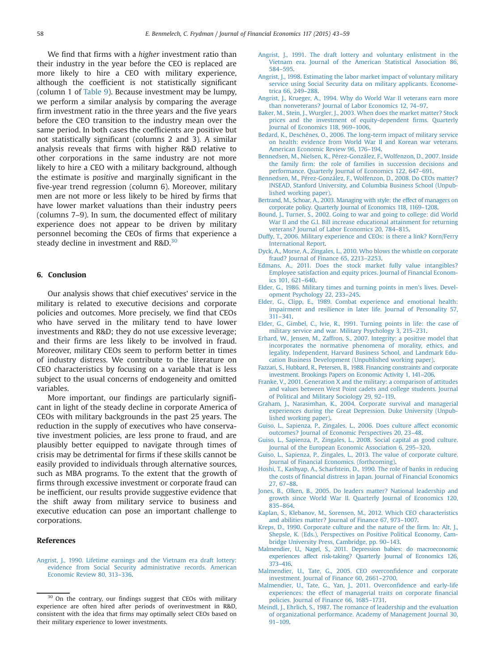<span id="page-15-0"></span>We find that firms with a *higher* investment ratio than their industry in the year before the CEO is replaced are more likely to hire a CEO with military experience, although the coefficient is not statistically significant (column 1 of [Table 9\)](#page-14-0). Because investment may be lumpy, we perform a similar analysis by comparing the average firm investment ratio in the three years and the five years before the CEO transition to the industry mean over the same period. In both cases the coefficients are positive but not statistically significant (columns 2 and 3). A similar analysis reveals that firms with higher R&D relative to other corporations in the same industry are not more likely to hire a CEO with a military background, although the estimate is positive and marginally significant in the five-year trend regression (column 6). Moreover, military men are not more or less likely to be hired by firms that have lower market valuations than their industry peers (columns 7–9). In sum, the documented effect of military experience does not appear to be driven by military personnel becoming the CEOs of firms that experience a steady decline in investment and  $R&D.<sup>30</sup>$ 

## 6. Conclusion

Our analysis shows that chief executives' service in the military is related to executive decisions and corporate policies and outcomes. More precisely, we find that CEOs who have served in the military tend to have lower investments and R&D; they do not use excessive leverage; and their firms are less likely to be involved in fraud. Moreover, military CEOs seem to perform better in times of industry distress. We contribute to the literature on CEO characteristics by focusing on a variable that is less subject to the usual concerns of endogeneity and omitted variables.

More important, our findings are particularly significant in light of the steady decline in corporate America of CEOs with military backgrounds in the past 25 years. The reduction in the supply of executives who have conservative investment policies, are less prone to fraud, and are plausibly better equipped to navigate through times of crisis may be detrimental for firms if these skills cannot be easily provided to individuals through alternative sources, such as MBA programs. To the extent that the growth of firms through excessive investment or corporate fraud can be inefficient, our results provide suggestive evidence that the shift away from military service to business and executive education can pose an important challenge to corporations.

#### References

[Angrist, J., 1990. Lifetime earnings and the Vietnam era draft lottery:](http://refhub.elsevier.com/S0304-405X(14)00093-2/sbref1) [evidence from Social Security administrative records. American](http://refhub.elsevier.com/S0304-405X(14)00093-2/sbref1) [Economic Review 80, 313](http://refhub.elsevier.com/S0304-405X(14)00093-2/sbref1)–336.

- [Angrist, J., 1991. The draft lottery and voluntary enlistment in the](http://refhub.elsevier.com/S0304-405X(14)00093-2/sbref2) [Vietnam era. Journal of the American Statistical Association 86,](http://refhub.elsevier.com/S0304-405X(14)00093-2/sbref2) 584–[595.](http://refhub.elsevier.com/S0304-405X(14)00093-2/sbref2)
- [Angrist, J., 1998. Estimating the labor market impact of voluntary military](http://refhub.elsevier.com/S0304-405X(14)00093-2/sbref3) [service using Social Security data on military applicants. Econome](http://refhub.elsevier.com/S0304-405X(14)00093-2/sbref3)[trica 66, 249](http://refhub.elsevier.com/S0304-405X(14)00093-2/sbref3)–288.
- [Angrist, J., Krueger, A., 1994. Why do World War II veterans earn more](http://refhub.elsevier.com/S0304-405X(14)00093-2/sbref4) [than nonveterans? Journal of Labor Economics 12, 74](http://refhub.elsevier.com/S0304-405X(14)00093-2/sbref4)–97.
- [Baker, M., Stein, J., Wurgler, J., 2003. When does the market matter? Stock](http://refhub.elsevier.com/S0304-405X(14)00093-2/sbref5) [prices and the investment of equity-dependent firms. Quarterly](http://refhub.elsevier.com/S0304-405X(14)00093-2/sbref5) [Journal of Economics 118, 969](http://refhub.elsevier.com/S0304-405X(14)00093-2/sbref5)–1006.
- [Bedard, K., Deschênes, O., 2006. The long-term impact of military service](http://refhub.elsevier.com/S0304-405X(14)00093-2/sbref6) [on health: evidence from World War II and Korean war veterans.](http://refhub.elsevier.com/S0304-405X(14)00093-2/sbref6) [American Economic Review 96, 176](http://refhub.elsevier.com/S0304-405X(14)00093-2/sbref6)–194.
- [Bennedsen, M., Nielsen, K., Pérez-González, F., Wolfenzon, D., 2007. Inside](http://refhub.elsevier.com/S0304-405X(14)00093-2/sbref7) [the family firm: the role of families in succession decisions and](http://refhub.elsevier.com/S0304-405X(14)00093-2/sbref7) [performance. Quarterly Journal of Economics 122, 647](http://refhub.elsevier.com/S0304-405X(14)00093-2/sbref7)–691.
- [Bennedsen, M., Pérez-González, F., Wolfenzon, D., 2008. Do CEOs matter?](http://refhub.elsevier.com/S0304-405X(14)00093-2/sbref8) [INSEAD, Stanford University, and Columbia Business School \(Unpub](http://refhub.elsevier.com/S0304-405X(14)00093-2/sbref8)[lished working paper\).](http://refhub.elsevier.com/S0304-405X(14)00093-2/sbref8)
- [Bertrand, M., Schoar, A., 2003. Managing with style: the effect of managers on](http://refhub.elsevier.com/S0304-405X(14)00093-2/sbref9) [corporate policy. Quarterly Journal of Economics 118, 1169](http://refhub.elsevier.com/S0304-405X(14)00093-2/sbref9)–1208.
- [Bound, J., Turner, S., 2002. Going to war and going to college: did World](http://refhub.elsevier.com/S0304-405X(14)00093-2/sbref10) [War II and the G.I. Bill increase educational attainment for returning](http://refhub.elsevier.com/S0304-405X(14)00093-2/sbref10) [veterans? Journal of Labor Economics 20, 784](http://refhub.elsevier.com/S0304-405X(14)00093-2/sbref10)–815.
- [Duffy, T., 2006. Military experience and CEOs: is there a link? Korn/Ferry](http://refhub.elsevier.com/S0304-405X(14)00093-2/sbref11) [International Report.](http://refhub.elsevier.com/S0304-405X(14)00093-2/sbref11)
- [Dyck, A., Morse, A., Zingales, L., 2010. Who blows the whistle on corporate](http://refhub.elsevier.com/S0304-405X(14)00093-2/sbref12) [fraud? Journal of Finance 65, 2213](http://refhub.elsevier.com/S0304-405X(14)00093-2/sbref12)–2253.
- [Edmans, A., 2011. Does the stock market fully value intangibles?](http://refhub.elsevier.com/S0304-405X(14)00093-2/sbref13) [Employee satisfaction and equity prices. Journal of Financial Econom](http://refhub.elsevier.com/S0304-405X(14)00093-2/sbref13)[ics 101, 621](http://refhub.elsevier.com/S0304-405X(14)00093-2/sbref13)–640.
- [Elder, G., 1986. Military times and turning points in men's lives. Devel](http://refhub.elsevier.com/S0304-405X(14)00093-2/sbref14)[opment Psychology 22, 233](http://refhub.elsevier.com/S0304-405X(14)00093-2/sbref14)–245.
- [Elder, G., Clipp, E., 1989. Combat experience and emotional health:](http://refhub.elsevier.com/S0304-405X(14)00093-2/sbref15) [impairment and resilience in later life. Journal of Personality 57,](http://refhub.elsevier.com/S0304-405X(14)00093-2/sbref15) 311–[341.](http://refhub.elsevier.com/S0304-405X(14)00093-2/sbref15)
- [Elder, G., Gimbel, C., Ivie, R., 1991. Turning points in life: the case of](http://refhub.elsevier.com/S0304-405X(14)00093-2/sbref16) [military service and war. Military Psychology 3, 215](http://refhub.elsevier.com/S0304-405X(14)00093-2/sbref16)–231.
- [Erhard, W., Jensen, M., Zaffron, S., 2007. Integrity: a positive model that](http://refhub.elsevier.com/S0304-405X(14)00093-2/sbref17) [incorporates the normative phenomena of morality, ethics, and](http://refhub.elsevier.com/S0304-405X(14)00093-2/sbref17) [legality. Independent, Harvard Business School, and Landmark Edu](http://refhub.elsevier.com/S0304-405X(14)00093-2/sbref17)[cation Business Development \(Unpublished working paper\).](http://refhub.elsevier.com/S0304-405X(14)00093-2/sbref17)
- [Fazzari, S., Hubbard, R., Petersen, B., 1988. Financing constraints and corporate](http://refhub.elsevier.com/S0304-405X(14)00093-2/sbref18) [investment. Brookings Papers on Economic Activity 1, 141](http://refhub.elsevier.com/S0304-405X(14)00093-2/sbref18)–206.
- [Franke, V., 2001. Generation X and the military: a comparison of attitudes](http://refhub.elsevier.com/S0304-405X(14)00093-2/sbref19) [and values between West Point cadets and college students. Journal](http://refhub.elsevier.com/S0304-405X(14)00093-2/sbref19) [of Political and Military Sociology 29, 92](http://refhub.elsevier.com/S0304-405X(14)00093-2/sbref19)–119.
- [Graham, J., Narasimhan, K., 2004. Corporate survival and managerial](http://refhub.elsevier.com/S0304-405X(14)00093-2/sbref20) [experiences during the Great Depression. Duke University \(Unpub](http://refhub.elsevier.com/S0304-405X(14)00093-2/sbref20)[lished working paper\).](http://refhub.elsevier.com/S0304-405X(14)00093-2/sbref20)
- [Guiso, L., Sapienza, P., Zingales, L., 2006. Does culture affect economic](http://refhub.elsevier.com/S0304-405X(14)00093-2/sbref21) [outcomes? Journal of Economic Perspectives 20, 23](http://refhub.elsevier.com/S0304-405X(14)00093-2/sbref21)–48.
- [Guiso, L., Sapienza, P., Zingales, L., 2008. Social capital as good culture.](http://refhub.elsevier.com/S0304-405X(14)00093-2/sbref22) [Journal of the European Economic Association 6, 295](http://refhub.elsevier.com/S0304-405X(14)00093-2/sbref22)–320.
- [Guiso, L., Sapienza, P., Zingales, L., 2013. The value of corporate culture.](http://refhub.elsevier.com/S0304-405X(14)00093-2/sbref23) [Journal of Financial Economics. \(forthcoming\).](http://refhub.elsevier.com/S0304-405X(14)00093-2/sbref23)
- [Hoshi, T., Kashyap, A., Scharfstein, D., 1990. The role of banks in reducing](http://refhub.elsevier.com/S0304-405X(14)00093-2/sbref24) [the costs of financial distress in Japan. Journal of Financial Economics](http://refhub.elsevier.com/S0304-405X(14)00093-2/sbref24) [27, 67](http://refhub.elsevier.com/S0304-405X(14)00093-2/sbref24)–88.
- [Jones, B., Olken, B., 2005. Do leaders matter? National leadership and](http://refhub.elsevier.com/S0304-405X(14)00093-2/sbref25) [growth since World War II. Quarterly Journal of Economics 120,](http://refhub.elsevier.com/S0304-405X(14)00093-2/sbref25) 835–[864.](http://refhub.elsevier.com/S0304-405X(14)00093-2/sbref25)
- [Kaplan, S., Klebanov, M., Sorensen, M., 2012. Which CEO characteristics](http://refhub.elsevier.com/S0304-405X(14)00093-2/sbref26) [and abilities matter? Journal of Finance 67, 973](http://refhub.elsevier.com/S0304-405X(14)00093-2/sbref26)–1007.
- [Kreps, D., 1990. Corporate culture and the nature of the firm. In: Alt, J.,](http://refhub.elsevier.com/S0304-405X(14)00093-2/sbref27) [Shepsle, K. \(Eds.\), Perspectives on Positive Political Economy, Cam](http://refhub.elsevier.com/S0304-405X(14)00093-2/sbref27)[bridge University Press, Cambridge, pp. 90](http://refhub.elsevier.com/S0304-405X(14)00093-2/sbref27)–143.
- [Malmendier, U., Nagel, S., 2011. Depression babies: do macroeconomic](http://refhub.elsevier.com/S0304-405X(14)00093-2/sbref28) [experiences affect risk-taking? Quarterly Journal of Economics 126,](http://refhub.elsevier.com/S0304-405X(14)00093-2/sbref28) 373–[416.](http://refhub.elsevier.com/S0304-405X(14)00093-2/sbref28)
- [Malmendier, U., Tate, G., 2005. CEO overconfidence and corporate](http://refhub.elsevier.com/S0304-405X(14)00093-2/sbref29) [investment. Journal of Finance 60, 2661](http://refhub.elsevier.com/S0304-405X(14)00093-2/sbref29)–2700.
- [Malmendier, U., Tate, G., Yan, J., 2011. Overconfidence and early-life](http://refhub.elsevier.com/S0304-405X(14)00093-2/sbref30) [experiences: the effect of managerial traits on corporate financial](http://refhub.elsevier.com/S0304-405X(14)00093-2/sbref30) [policies. Journal of Finance 66, 1685](http://refhub.elsevier.com/S0304-405X(14)00093-2/sbref30)–1731.
- [Meindl, J., Ehrlich, S., 1987. The romance of leadership and the evaluation](http://refhub.elsevier.com/S0304-405X(14)00093-2/sbref31) [of organizational performance. Academy of Management Journal 30,](http://refhub.elsevier.com/S0304-405X(14)00093-2/sbref31) 91–[109.](http://refhub.elsevier.com/S0304-405X(14)00093-2/sbref31)

<sup>&</sup>lt;sup>30</sup> On the contrary, our findings suggest that CEOs with military experience are often hired after periods of overinvestment in R&D, consistent with the idea that firms may optimally select CEOs based on their military experience to lower investments.